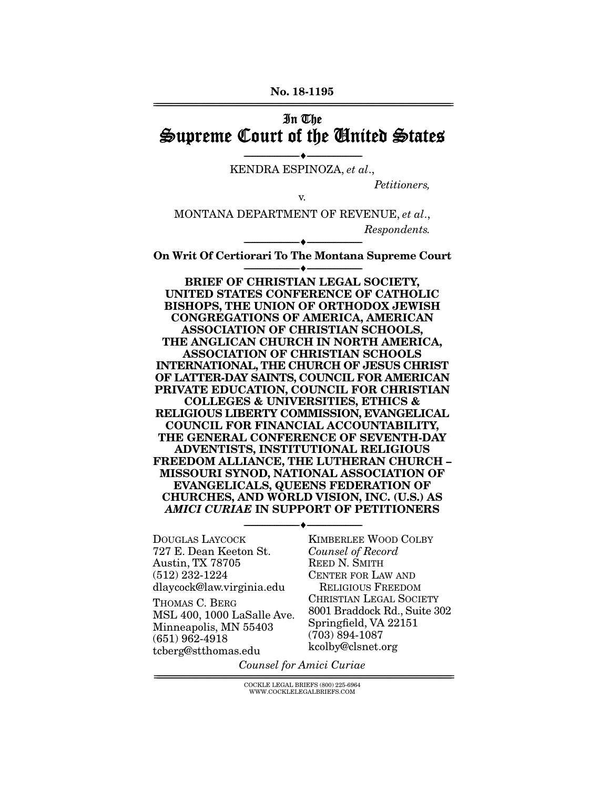No. 18-1195 ================================================================================================================

## In The Supreme Court of the United States

--------------------------------- --------------------------------- KENDRA ESPINOZA, *et al*.,

*Petitioners,* 

v.

MONTANA DEPARTMENT OF REVENUE, *et al*., *Respondents.* 

--------------------------------- --------------------------------- On Writ Of Certiorari To The Montana Supreme Court --------------------------------- ---------------------------------

BRIEF OF CHRISTIAN LEGAL SOCIETY, UNITED STATES CONFERENCE OF CATHOLIC BISHOPS, THE UNION OF ORTHODOX JEWISH CONGREGATIONS OF AMERICA, AMERICAN ASSOCIATION OF CHRISTIAN SCHOOLS, THE ANGLICAN CHURCH IN NORTH AMERICA, ASSOCIATION OF CHRISTIAN SCHOOLS INTERNATIONAL, THE CHURCH OF JESUS CHRIST OF LATTER-DAY SAINTS, COUNCIL FOR AMERICAN PRIVATE EDUCATION, COUNCIL FOR CHRISTIAN COLLEGES & UNIVERSITIES, ETHICS & RELIGIOUS LIBERTY COMMISSION, EVANGELICAL COUNCIL FOR FINANCIAL ACCOUNTABILITY, THE GENERAL CONFERENCE OF SEVENTH-DAY ADVENTISTS, INSTITUTIONAL RELIGIOUS FREEDOM ALLIANCE, THE LUTHERAN CHURCH – MISSOURI SYNOD, NATIONAL ASSOCIATION OF EVANGELICALS, QUEENS FEDERATION OF CHURCHES, AND WORLD VISION, INC. (U.S.) AS *AMICI CURIAE* IN SUPPORT OF PETITIONERS

--------------------------------- ---------------------------------

DOUGLAS LAYCOCK 727 E. Dean Keeton St. Austin, TX 78705 (512) 232-1224 dlaycock@law.virginia.edu

THOMAS C. BERG MSL 400, 1000 LaSalle Ave. Minneapolis, MN 55403 (651) 962-4918 tcberg@stthomas.edu

KIMBERLEE WOOD COLBY *Counsel of Record* REED N. SMITH CENTER FOR LAW AND RELIGIOUS FREEDOM CHRISTIAN LEGAL SOCIETY 8001 Braddock Rd., Suite 302 Springfield, VA 22151 (703) 894-1087 kcolby@clsnet.org

*Counsel for Amici Curiae* 

 $COCKLE LEGAL BRIEFS (800) 225-6964$ WWW.COCKLELEGALBRIEFS.COM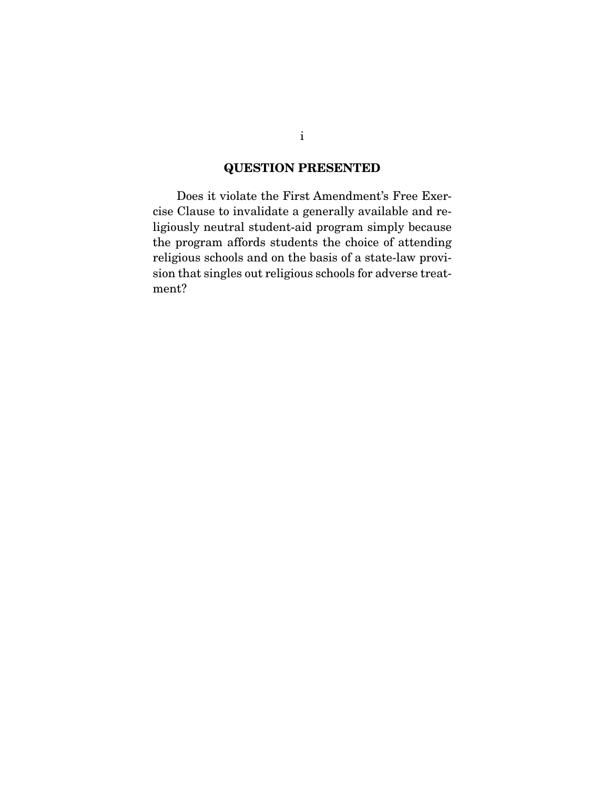## QUESTION PRESENTED

 Does it violate the First Amendment's Free Exercise Clause to invalidate a generally available and religiously neutral student-aid program simply because the program affords students the choice of attending religious schools and on the basis of a state-law provision that singles out religious schools for adverse treatment?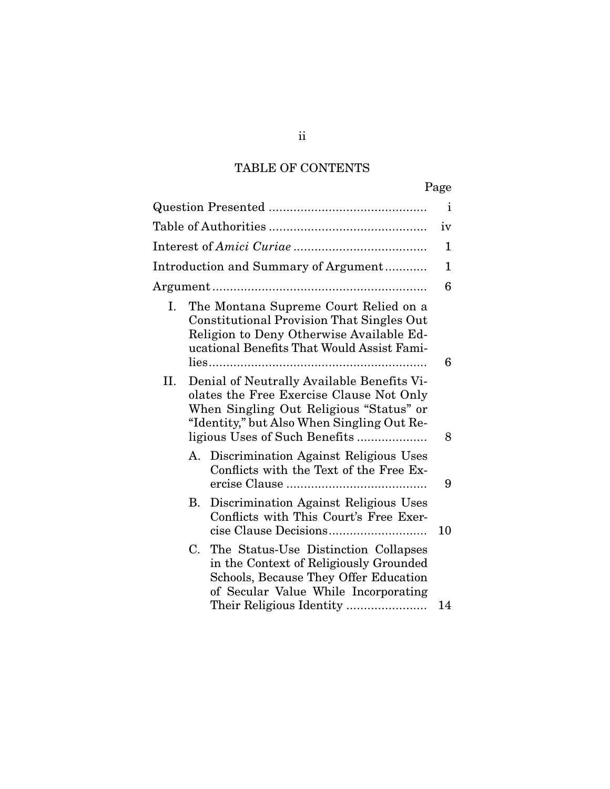# TABLE OF CONTENTS

|           |                                                                                                                                                                                                                                   | Page |
|-----------|-----------------------------------------------------------------------------------------------------------------------------------------------------------------------------------------------------------------------------------|------|
|           |                                                                                                                                                                                                                                   | i    |
|           |                                                                                                                                                                                                                                   | iv   |
|           |                                                                                                                                                                                                                                   | 1    |
|           | Introduction and Summary of Argument                                                                                                                                                                                              | 1    |
|           |                                                                                                                                                                                                                                   | 6    |
| Ι.<br>II. | The Montana Supreme Court Relied on a<br><b>Constitutional Provision That Singles Out</b><br>Religion to Deny Otherwise Available Ed-<br>ucational Benefits That Would Assist Fami-<br>Denial of Neutrally Available Benefits Vi- | 6    |
|           | olates the Free Exercise Clause Not Only<br>When Singling Out Religious "Status" or<br>"Identity," but Also When Singling Out Re-<br>ligious Uses of Such Benefits                                                                | 8    |
|           | Discrimination Against Religious Uses<br>А.<br>Conflicts with the Text of the Free Ex-                                                                                                                                            | 9    |
|           | Discrimination Against Religious Uses<br>В.<br>Conflicts with This Court's Free Exer-                                                                                                                                             | 10   |
|           | The Status-Use Distinction Collapses<br>C.<br>in the Context of Religiously Grounded<br>Schools, Because They Offer Education<br>of Secular Value While Incorporating<br>Their Religious Identity                                 | 14   |

## ii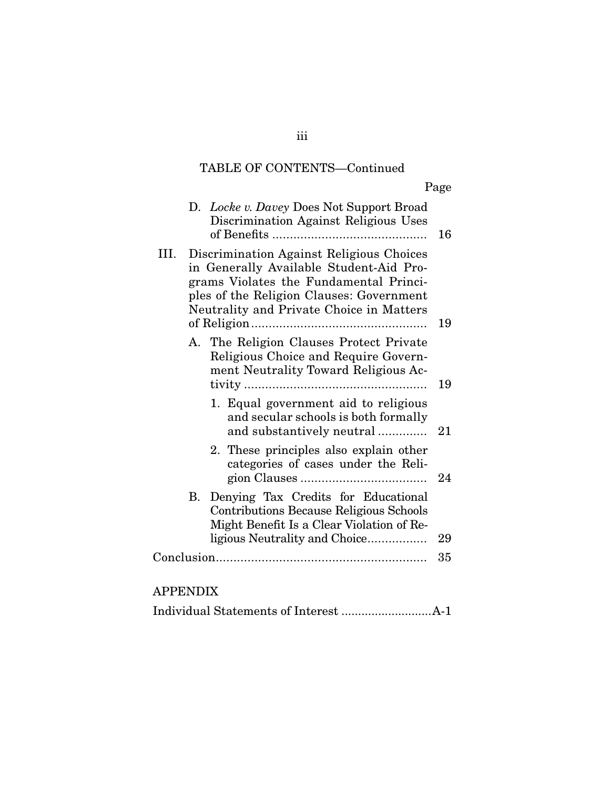# TABLE OF CONTENTS—Continued

Page

|                 | D. Locke v. Davey Does Not Support Broad<br>Discrimination Against Religious Uses                                                                                                                                     | 16 |
|-----------------|-----------------------------------------------------------------------------------------------------------------------------------------------------------------------------------------------------------------------|----|
| III.            | Discrimination Against Religious Choices<br>in Generally Available Student-Aid Pro-<br>grams Violates the Fundamental Princi-<br>ples of the Religion Clauses: Government<br>Neutrality and Private Choice in Matters | 19 |
|                 | A. The Religion Clauses Protect Private<br>Religious Choice and Require Govern-<br>ment Neutrality Toward Religious Ac-                                                                                               | 19 |
|                 | 1. Equal government aid to religious<br>and secular schools is both formally<br>and substantively neutral                                                                                                             | 21 |
|                 | 2. These principles also explain other<br>categories of cases under the Reli-                                                                                                                                         | 24 |
|                 | B. Denying Tax Credits for Educational<br><b>Contributions Because Religious Schools</b><br>Might Benefit Is a Clear Violation of Re-                                                                                 |    |
|                 | ligious Neutrality and Choice                                                                                                                                                                                         | 29 |
|                 |                                                                                                                                                                                                                       | 35 |
| <b>APPENDIX</b> |                                                                                                                                                                                                                       |    |

|--|--|--|--|

iii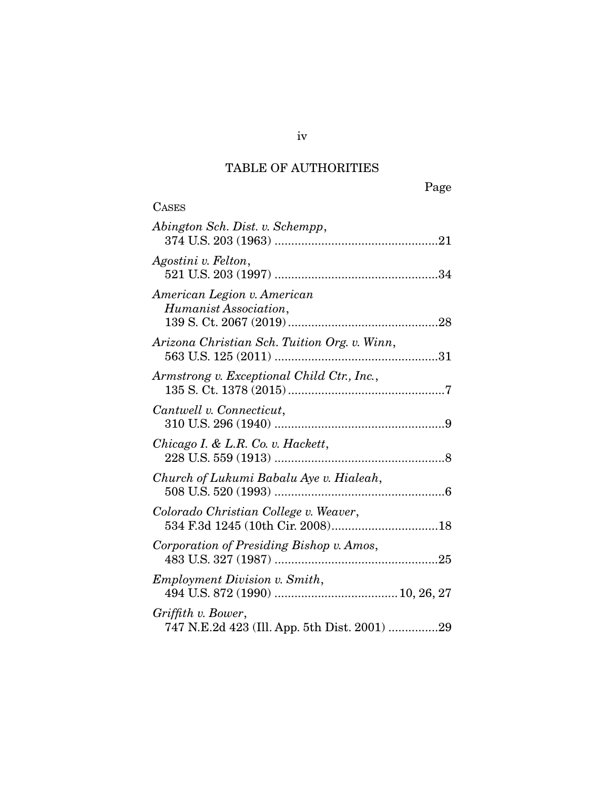## TABLE OF AUTHORITIES

| <b>CASES</b>                                                       |
|--------------------------------------------------------------------|
| Abington Sch. Dist. v. Schempp,                                    |
| Agostini v. Felton,                                                |
| American Legion v. American<br>Humanist Association,               |
| Arizona Christian Sch. Tuition Org. v. Winn,                       |
| Armstrong v. Exceptional Child Ctr., Inc.,                         |
| Cantwell v. Connecticut,                                           |
| Chicago I. & L.R. Co. v. Hackett,                                  |
| Church of Lukumi Babalu Aye v. Hialeah,                            |
| Colorado Christian College v. Weaver,                              |
| Corporation of Presiding Bishop v. Amos,                           |
| <i>Employment Division v. Smith,</i>                               |
| Griffith v. Bower,<br>747 N.E.2d 423 (Ill. App. 5th Dist. 2001) 29 |

iv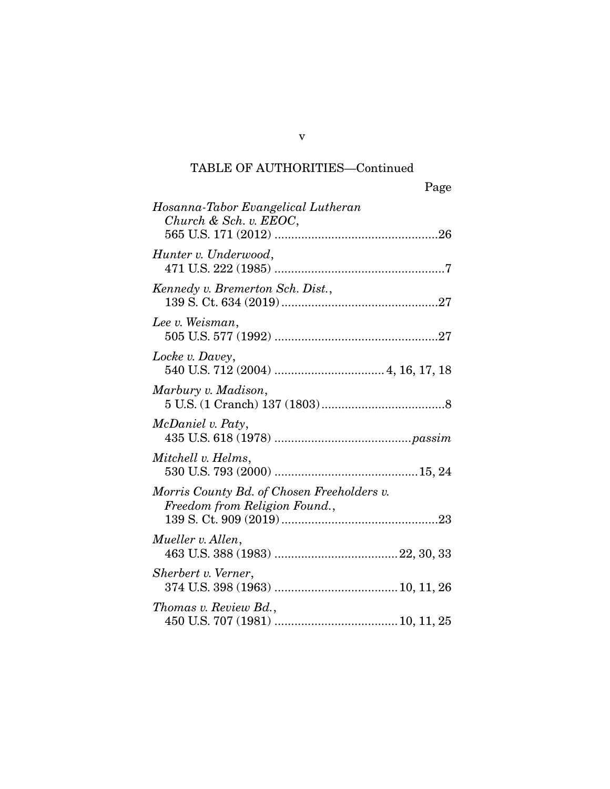| Page                                                                        |
|-----------------------------------------------------------------------------|
| Hosanna-Tabor Evangelical Lutheran<br>Church & Sch. v. EEOC,                |
| Hunter v. Underwood,                                                        |
| Kennedy v. Bremerton Sch. Dist.,                                            |
| Lee v. Weisman,                                                             |
| Locke v. Davey,                                                             |
| Marbury v. Madison,                                                         |
| McDaniel v. Paty,                                                           |
| Mitchell v. Helms,                                                          |
| Morris County Bd. of Chosen Freeholders v.<br>Freedom from Religion Found., |
| Mueller v. Allen,                                                           |
| Sherbert v. Verner,                                                         |
| Thomas v. Review Bd.,                                                       |

v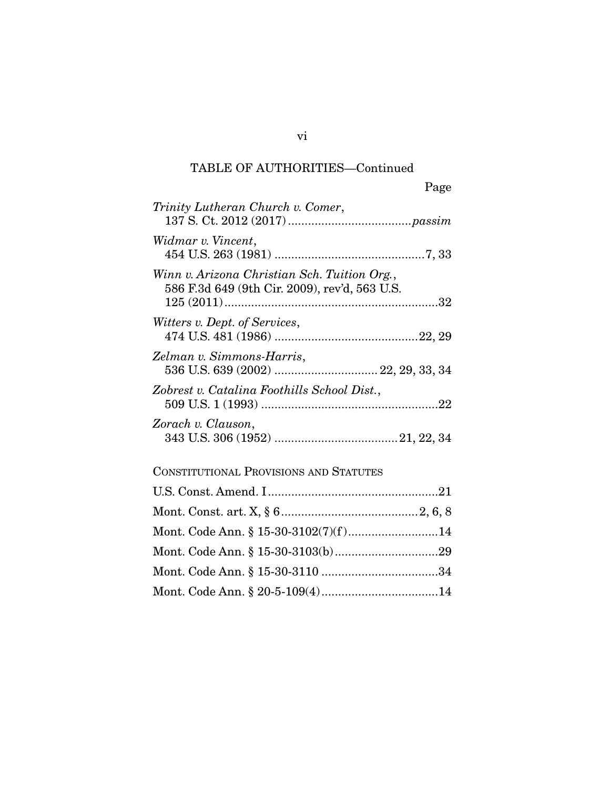|                                                                                               | Page |
|-----------------------------------------------------------------------------------------------|------|
| Trinity Lutheran Church v. Comer,                                                             |      |
| Widmar v. Vincent,                                                                            |      |
| Winn v. Arizona Christian Sch. Tuition Org.,<br>586 F.3d 649 (9th Cir. 2009), rev'd, 563 U.S. |      |
| <i>Witters v. Dept. of Services,</i>                                                          |      |
| Zelman v. Simmons-Harris,                                                                     |      |
| Zobrest v. Catalina Foothills School Dist.,                                                   |      |
| Zorach v. Clauson,                                                                            |      |

## CONSTITUTIONAL PROVISIONS AND STATUTES

vi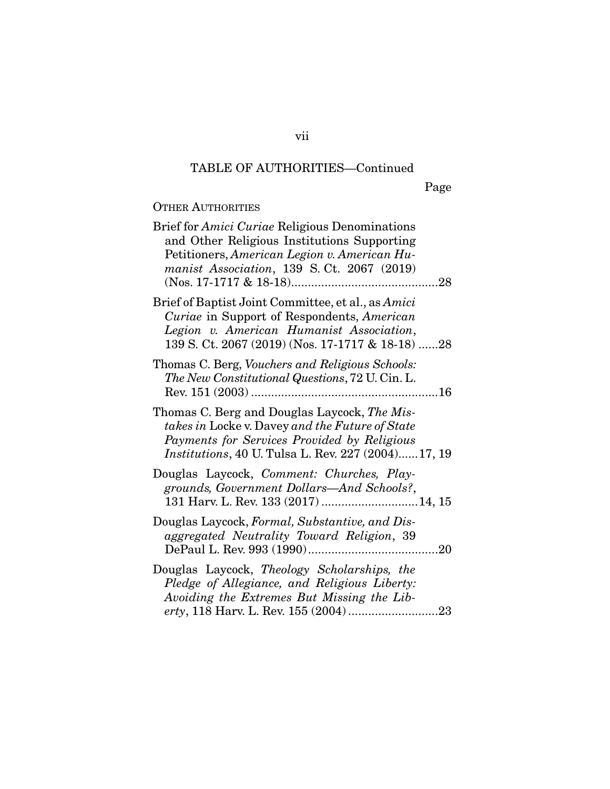Page

## OTHER AUTHORITIES

| Brief for Amici Curiae Religious Denominations<br>and Other Religious Institutions Supporting<br>Petitioners, American Legion v. American Hu-<br>manist Association, 139 S.Ct. 2067 (2019)                  |
|-------------------------------------------------------------------------------------------------------------------------------------------------------------------------------------------------------------|
| Brief of Baptist Joint Committee, et al., as Amici<br>Curiae in Support of Respondents, American<br>Legion v. American Humanist Association,<br>139 S. Ct. 2067 (2019) (Nos. 17-1717 & 18-18) 28            |
| Thomas C. Berg, Vouchers and Religious Schools:<br>The New Constitutional Questions, 72 U. Cin. L.                                                                                                          |
| Thomas C. Berg and Douglas Laycock, The Mis-<br>takes in Locke v. Davey and the Future of State<br>Payments for Services Provided by Religious<br><i>Institutions, 40 U. Tulsa L. Rev. 227 (2004)17, 19</i> |
| Douglas Laycock, Comment: Churches, Play-<br>grounds, Government Dollars—And Schools?,<br>131 Harv. L. Rev. 133 (2017)  14, 15                                                                              |
| Douglas Laycock, Formal, Substantive, and Dis-<br>aggregated Neutrality Toward Religion, 39                                                                                                                 |
| Douglas Laycock, Theology Scholarships, the<br>Pledge of Allegiance, and Religious Liberty:<br>Avoiding the Extremes But Missing the Lib-                                                                   |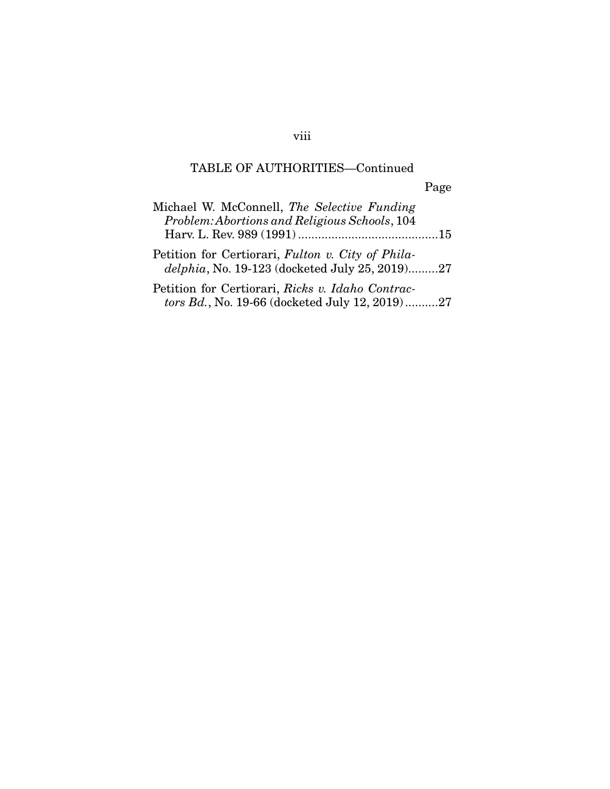viii

Page

| Michael W. McConnell, The Selective Funding<br>Problem: Abortions and Religious Schools, 104        |  |
|-----------------------------------------------------------------------------------------------------|--|
|                                                                                                     |  |
| Petition for Certiorari, Fulton v. City of Phila-<br>delphia, No. 19-123 (docketed July 25, 2019)27 |  |
| Petition for Certiorari, Ricks v. Idaho Contrac-                                                    |  |

*tors Bd.*, No. 19-66 (docketed July 12, 2019) .......... 27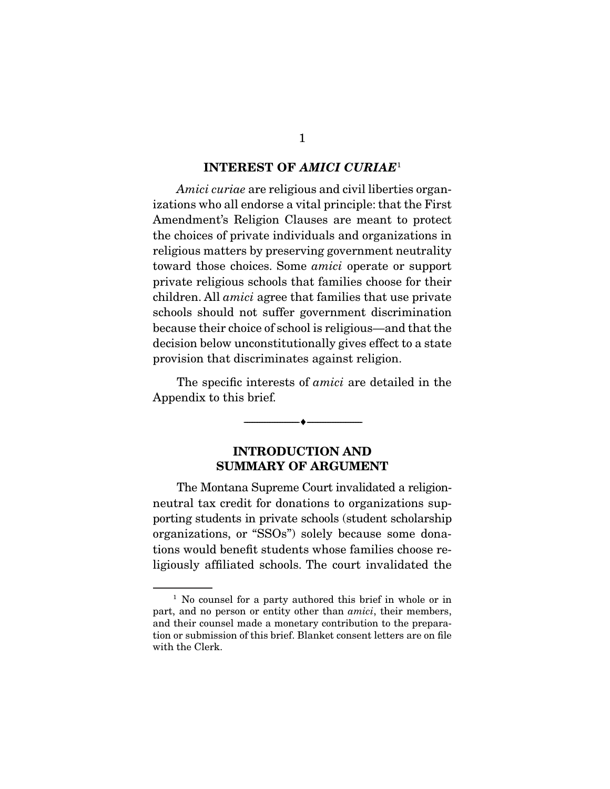#### INTEREST OF *AMICI CURIAE*<sup>1</sup>

*Amici curiae* are religious and civil liberties organizations who all endorse a vital principle: that the First Amendment's Religion Clauses are meant to protect the choices of private individuals and organizations in religious matters by preserving government neutrality toward those choices. Some *amici* operate or support private religious schools that families choose for their children. All *amici* agree that families that use private schools should not suffer government discrimination because their choice of school is religious—and that the decision below unconstitutionally gives effect to a state provision that discriminates against religion.

 The specific interests of *amici* are detailed in the Appendix to this brief.

--------------------------------- ---------------------------------

### INTRODUCTION AND SUMMARY OF ARGUMENT

 The Montana Supreme Court invalidated a religionneutral tax credit for donations to organizations supporting students in private schools (student scholarship organizations, or "SSOs") solely because some donations would benefit students whose families choose religiously affiliated schools. The court invalidated the

<sup>&</sup>lt;sup>1</sup> No counsel for a party authored this brief in whole or in part, and no person or entity other than *amici*, their members, and their counsel made a monetary contribution to the preparation or submission of this brief. Blanket consent letters are on file with the Clerk.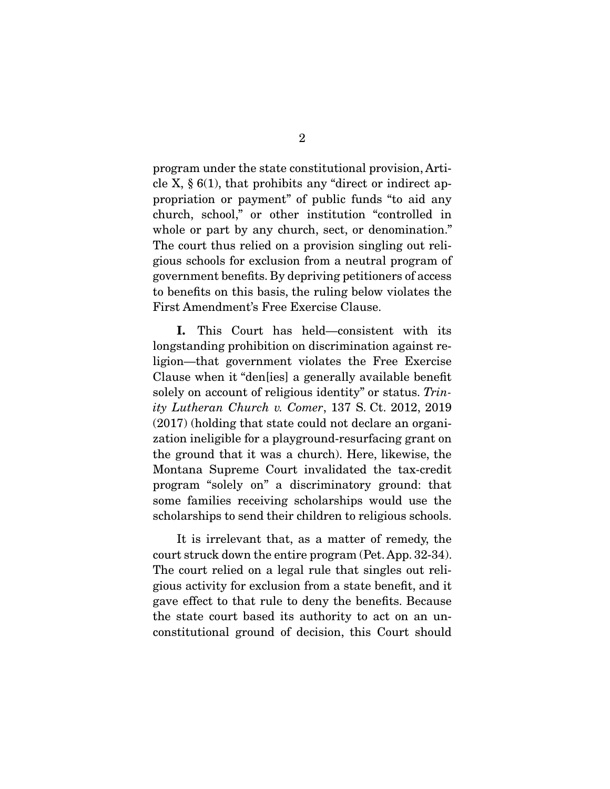program under the state constitutional provision, Article X,  $\S$  6(1), that prohibits any "direct or indirect appropriation or payment" of public funds "to aid any church, school," or other institution "controlled in whole or part by any church, sect, or denomination." The court thus relied on a provision singling out religious schools for exclusion from a neutral program of government benefits. By depriving petitioners of access to benefits on this basis, the ruling below violates the First Amendment's Free Exercise Clause.

I. This Court has held—consistent with its longstanding prohibition on discrimination against religion—that government violates the Free Exercise Clause when it "den[ies] a generally available benefit solely on account of religious identity" or status. *Trinity Lutheran Church v. Comer*, 137 S. Ct. 2012, 2019 (2017) (holding that state could not declare an organization ineligible for a playground-resurfacing grant on the ground that it was a church). Here, likewise, the Montana Supreme Court invalidated the tax-credit program "solely on" a discriminatory ground: that some families receiving scholarships would use the scholarships to send their children to religious schools.

 It is irrelevant that, as a matter of remedy, the court struck down the entire program (Pet. App. 32-34). The court relied on a legal rule that singles out religious activity for exclusion from a state benefit, and it gave effect to that rule to deny the benefits. Because the state court based its authority to act on an unconstitutional ground of decision, this Court should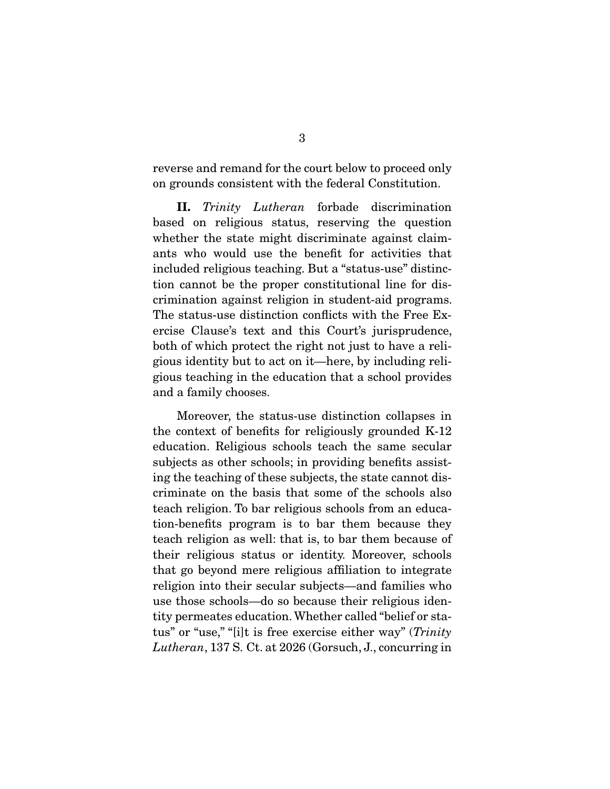reverse and remand for the court below to proceed only on grounds consistent with the federal Constitution.

II. *Trinity Lutheran* forbade discrimination based on religious status, reserving the question whether the state might discriminate against claimants who would use the benefit for activities that included religious teaching. But a "status-use" distinction cannot be the proper constitutional line for discrimination against religion in student-aid programs. The status-use distinction conflicts with the Free Exercise Clause's text and this Court's jurisprudence, both of which protect the right not just to have a religious identity but to act on it—here, by including religious teaching in the education that a school provides and a family chooses.

 Moreover, the status-use distinction collapses in the context of benefits for religiously grounded K-12 education. Religious schools teach the same secular subjects as other schools; in providing benefits assisting the teaching of these subjects, the state cannot discriminate on the basis that some of the schools also teach religion. To bar religious schools from an education-benefits program is to bar them because they teach religion as well: that is, to bar them because of their religious status or identity. Moreover, schools that go beyond mere religious affiliation to integrate religion into their secular subjects—and families who use those schools—do so because their religious identity permeates education. Whether called "belief or status" or "use," "[i]t is free exercise either way" (*Trinity Lutheran*, 137 S. Ct. at 2026 (Gorsuch, J., concurring in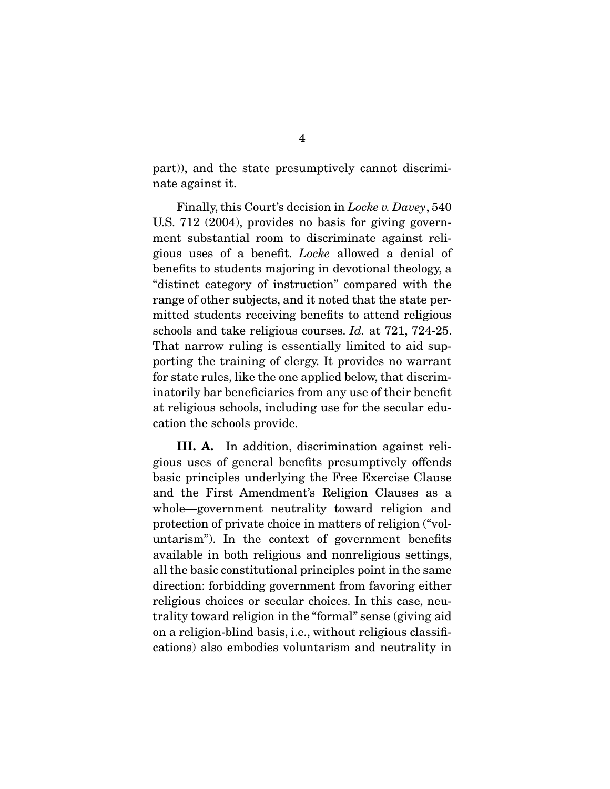part)), and the state presumptively cannot discriminate against it.

 Finally, this Court's decision in *Locke v. Davey*, 540 U.S. 712 (2004), provides no basis for giving government substantial room to discriminate against religious uses of a benefit. *Locke* allowed a denial of benefits to students majoring in devotional theology, a "distinct category of instruction" compared with the range of other subjects, and it noted that the state permitted students receiving benefits to attend religious schools and take religious courses. *Id.* at 721, 724-25. That narrow ruling is essentially limited to aid supporting the training of clergy. It provides no warrant for state rules, like the one applied below, that discriminatorily bar beneficiaries from any use of their benefit at religious schools, including use for the secular education the schools provide.

III. A. In addition, discrimination against religious uses of general benefits presumptively offends basic principles underlying the Free Exercise Clause and the First Amendment's Religion Clauses as a whole—government neutrality toward religion and protection of private choice in matters of religion ("voluntarism"). In the context of government benefits available in both religious and nonreligious settings, all the basic constitutional principles point in the same direction: forbidding government from favoring either religious choices or secular choices. In this case, neutrality toward religion in the "formal" sense (giving aid on a religion-blind basis, i.e., without religious classifications) also embodies voluntarism and neutrality in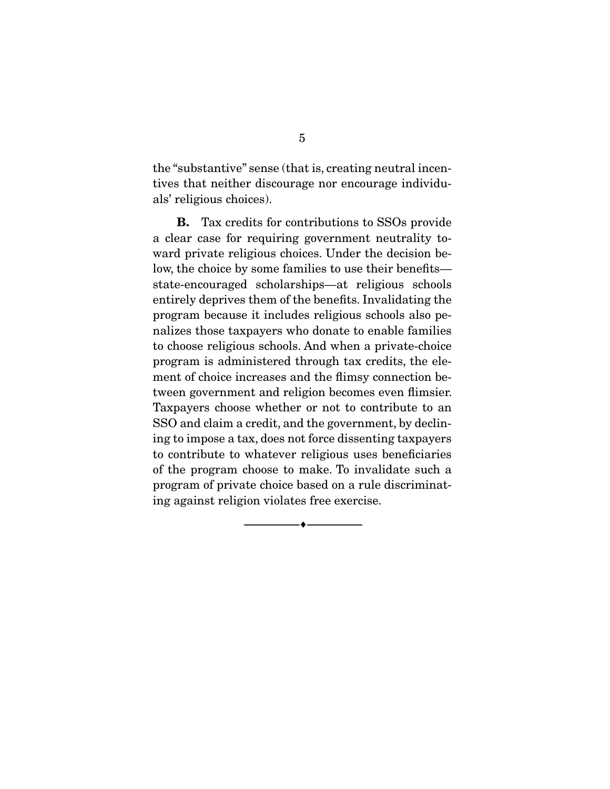the "substantive" sense (that is, creating neutral incentives that neither discourage nor encourage individuals' religious choices).

B. Tax credits for contributions to SSOs provide a clear case for requiring government neutrality toward private religious choices. Under the decision below, the choice by some families to use their benefits state-encouraged scholarships—at religious schools entirely deprives them of the benefits. Invalidating the program because it includes religious schools also penalizes those taxpayers who donate to enable families to choose religious schools. And when a private-choice program is administered through tax credits, the element of choice increases and the flimsy connection between government and religion becomes even flimsier. Taxpayers choose whether or not to contribute to an SSO and claim a credit, and the government, by declining to impose a tax, does not force dissenting taxpayers to contribute to whatever religious uses beneficiaries of the program choose to make. To invalidate such a program of private choice based on a rule discriminating against religion violates free exercise.

--------------------------------- ---------------------------------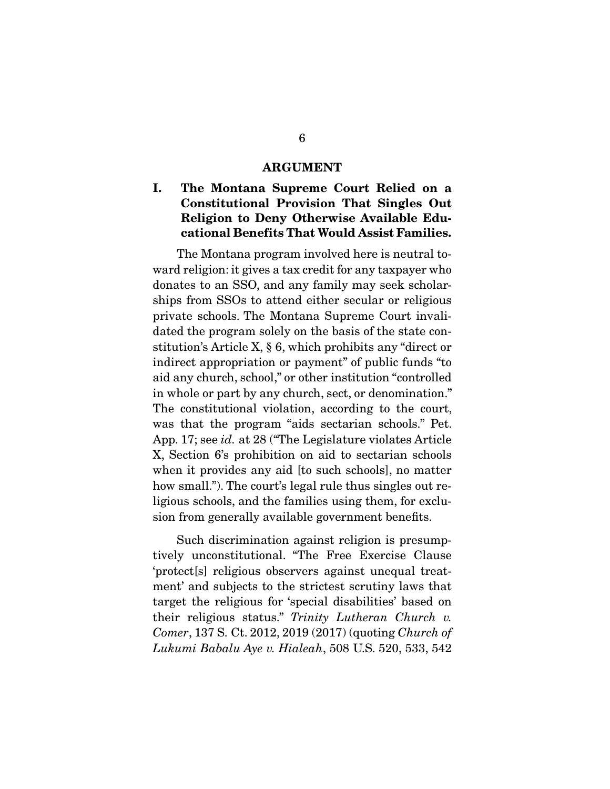#### ARGUMENT

## I. The Montana Supreme Court Relied on a Constitutional Provision That Singles Out Religion to Deny Otherwise Available Educational Benefits That Would Assist Families.

 The Montana program involved here is neutral toward religion: it gives a tax credit for any taxpayer who donates to an SSO, and any family may seek scholarships from SSOs to attend either secular or religious private schools. The Montana Supreme Court invalidated the program solely on the basis of the state constitution's Article X, § 6, which prohibits any "direct or indirect appropriation or payment" of public funds "to aid any church, school," or other institution "controlled in whole or part by any church, sect, or denomination." The constitutional violation, according to the court, was that the program "aids sectarian schools." Pet. App. 17; see *id.* at 28 ("The Legislature violates Article X, Section 6's prohibition on aid to sectarian schools when it provides any aid [to such schools], no matter how small."). The court's legal rule thus singles out religious schools, and the families using them, for exclusion from generally available government benefits.

 Such discrimination against religion is presumptively unconstitutional. "The Free Exercise Clause 'protect[s] religious observers against unequal treatment' and subjects to the strictest scrutiny laws that target the religious for 'special disabilities' based on their religious status." *Trinity Lutheran Church v. Comer*, 137 S. Ct. 2012, 2019 (2017) (quoting *Church of Lukumi Babalu Aye v. Hialeah*, 508 U.S. 520, 533, 542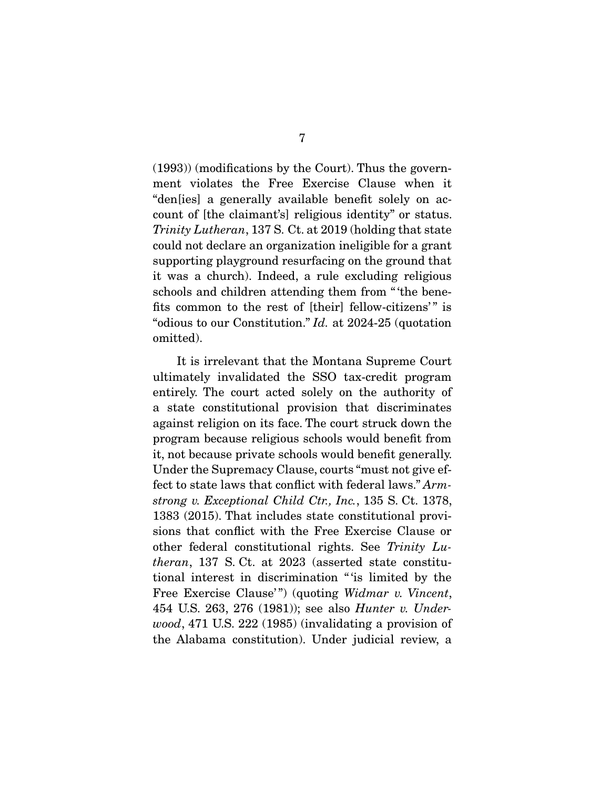(1993)) (modifications by the Court). Thus the government violates the Free Exercise Clause when it "den[ies] a generally available benefit solely on account of [the claimant's] religious identity" or status. *Trinity Lutheran*, 137 S. Ct. at 2019 (holding that state could not declare an organization ineligible for a grant supporting playground resurfacing on the ground that it was a church). Indeed, a rule excluding religious schools and children attending them from " 'the benefits common to the rest of [their] fellow-citizens'" is "odious to our Constitution." *Id.* at 2024-25 (quotation omitted).

 It is irrelevant that the Montana Supreme Court ultimately invalidated the SSO tax-credit program entirely. The court acted solely on the authority of a state constitutional provision that discriminates against religion on its face. The court struck down the program because religious schools would benefit from it, not because private schools would benefit generally. Under the Supremacy Clause, courts "must not give effect to state laws that conflict with federal laws." *Armstrong v. Exceptional Child Ctr., Inc.*, 135 S. Ct. 1378, 1383 (2015). That includes state constitutional provisions that conflict with the Free Exercise Clause or other federal constitutional rights. See *Trinity Lutheran*, 137 S. Ct. at 2023 (asserted state constitutional interest in discrimination " 'is limited by the Free Exercise Clause'") (quoting *Widmar v. Vincent*, 454 U.S. 263, 276 (1981)); see also *Hunter v. Underwood*, 471 U.S. 222 (1985) (invalidating a provision of the Alabama constitution). Under judicial review, a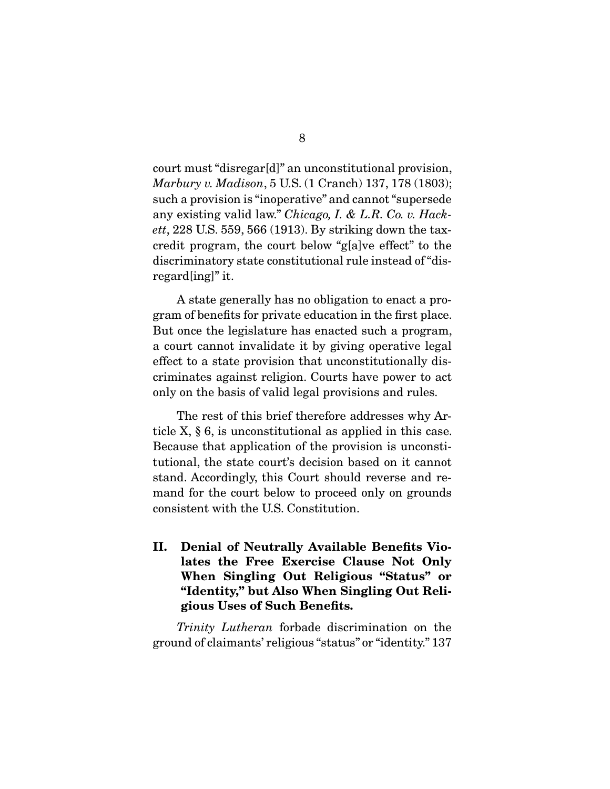court must "disregar[d]" an unconstitutional provision, *Marbury v. Madison*, 5 U.S. (1 Cranch) 137, 178 (1803); such a provision is "inoperative" and cannot "supersede any existing valid law." *Chicago, I. & L.R. Co. v. Hackett*, 228 U.S. 559, 566 (1913). By striking down the taxcredit program, the court below "g[a]ve effect" to the discriminatory state constitutional rule instead of "disregard[ing]" it.

 A state generally has no obligation to enact a program of benefits for private education in the first place. But once the legislature has enacted such a program, a court cannot invalidate it by giving operative legal effect to a state provision that unconstitutionally discriminates against religion. Courts have power to act only on the basis of valid legal provisions and rules.

 The rest of this brief therefore addresses why Article X, § 6, is unconstitutional as applied in this case. Because that application of the provision is unconstitutional, the state court's decision based on it cannot stand. Accordingly, this Court should reverse and remand for the court below to proceed only on grounds consistent with the U.S. Constitution.

II. Denial of Neutrally Available Benefits Violates the Free Exercise Clause Not Only When Singling Out Religious "Status" or "Identity," but Also When Singling Out Religious Uses of Such Benefits.

*Trinity Lutheran* forbade discrimination on the ground of claimants' religious "status" or "identity." 137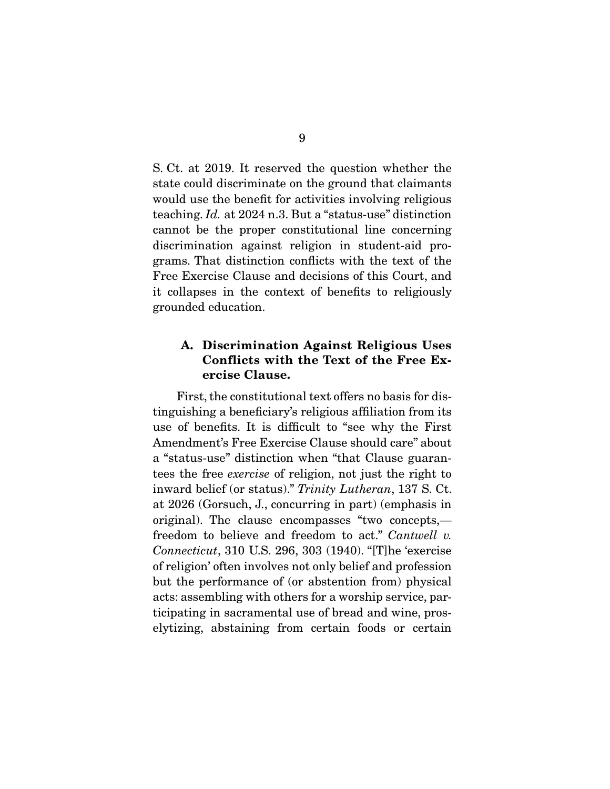S. Ct. at 2019. It reserved the question whether the state could discriminate on the ground that claimants would use the benefit for activities involving religious teaching. *Id.* at 2024 n.3. But a "status-use" distinction cannot be the proper constitutional line concerning discrimination against religion in student-aid programs. That distinction conflicts with the text of the Free Exercise Clause and decisions of this Court, and it collapses in the context of benefits to religiously grounded education.

## A. Discrimination Against Religious Uses Conflicts with the Text of the Free Exercise Clause.

 First, the constitutional text offers no basis for distinguishing a beneficiary's religious affiliation from its use of benefits. It is difficult to "see why the First Amendment's Free Exercise Clause should care" about a "status-use" distinction when "that Clause guarantees the free *exercise* of religion, not just the right to inward belief (or status)." *Trinity Lutheran*, 137 S. Ct. at 2026 (Gorsuch, J., concurring in part) (emphasis in original). The clause encompasses "two concepts, freedom to believe and freedom to act." *Cantwell v. Connecticut*, 310 U.S. 296, 303 (1940). "[T]he 'exercise of religion' often involves not only belief and profession but the performance of (or abstention from) physical acts: assembling with others for a worship service, participating in sacramental use of bread and wine, proselytizing, abstaining from certain foods or certain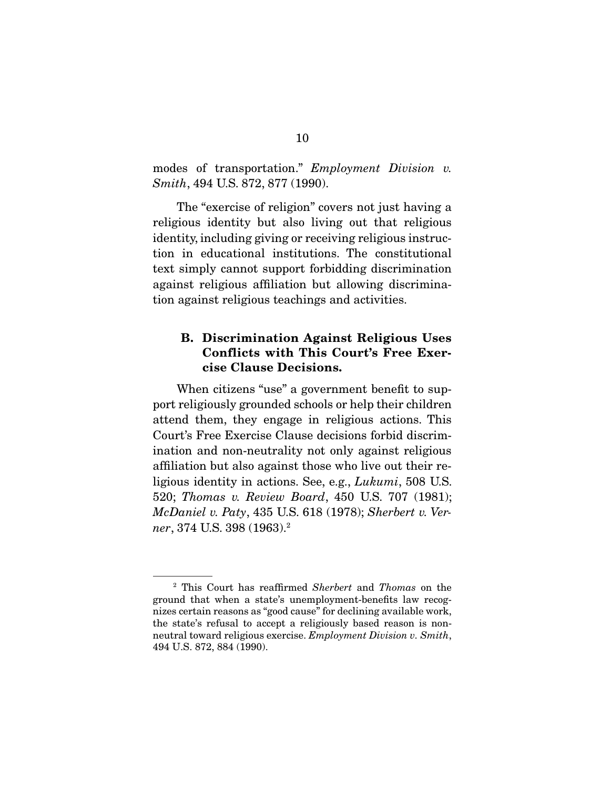modes of transportation." *Employment Division v. Smith*, 494 U.S. 872, 877 (1990).

 The "exercise of religion" covers not just having a religious identity but also living out that religious identity, including giving or receiving religious instruction in educational institutions. The constitutional text simply cannot support forbidding discrimination against religious affiliation but allowing discrimination against religious teachings and activities.

### B. Discrimination Against Religious Uses Conflicts with This Court's Free Exercise Clause Decisions.

 When citizens "use" a government benefit to support religiously grounded schools or help their children attend them, they engage in religious actions. This Court's Free Exercise Clause decisions forbid discrimination and non-neutrality not only against religious affiliation but also against those who live out their religious identity in actions. See, e.g., *Lukumi*, 508 U.S. 520; *Thomas v. Review Board*, 450 U.S. 707 (1981); *McDaniel v. Paty*, 435 U.S. 618 (1978); *Sherbert v. Verner*, 374 U.S. 398 (1963).2

<sup>2</sup> This Court has reaffirmed *Sherbert* and *Thomas* on the ground that when a state's unemployment-benefits law recognizes certain reasons as "good cause" for declining available work, the state's refusal to accept a religiously based reason is nonneutral toward religious exercise. *Employment Division v. Smith*, 494 U.S. 872, 884 (1990).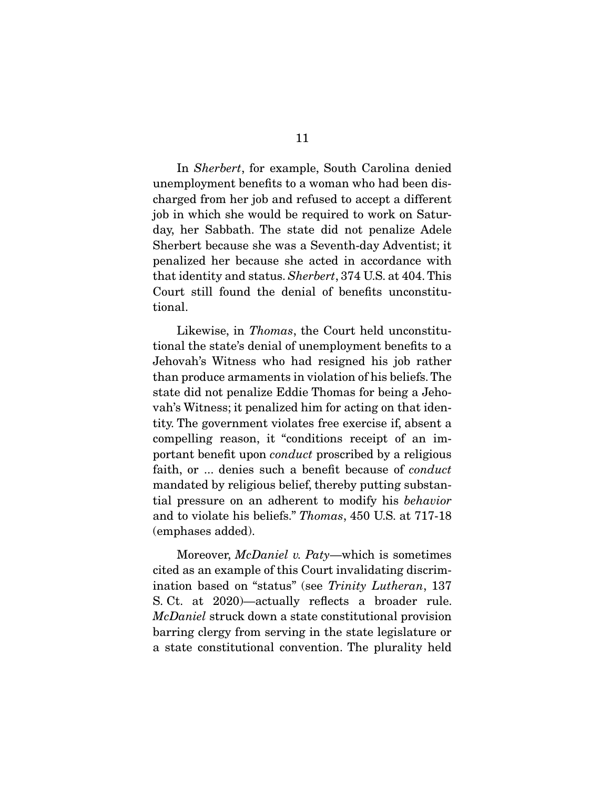In *Sherbert*, for example, South Carolina denied unemployment benefits to a woman who had been discharged from her job and refused to accept a different job in which she would be required to work on Saturday, her Sabbath. The state did not penalize Adele Sherbert because she was a Seventh-day Adventist; it penalized her because she acted in accordance with that identity and status. *Sherbert*, 374 U.S. at 404. This Court still found the denial of benefits unconstitutional.

 Likewise, in *Thomas*, the Court held unconstitutional the state's denial of unemployment benefits to a Jehovah's Witness who had resigned his job rather than produce armaments in violation of his beliefs. The state did not penalize Eddie Thomas for being a Jehovah's Witness; it penalized him for acting on that identity. The government violates free exercise if, absent a compelling reason, it "conditions receipt of an important benefit upon *conduct* proscribed by a religious faith, or ... denies such a benefit because of *conduct* mandated by religious belief, thereby putting substantial pressure on an adherent to modify his *behavior* and to violate his beliefs." *Thomas*, 450 U.S. at 717-18 (emphases added).

 Moreover, *McDaniel v. Paty*—which is sometimes cited as an example of this Court invalidating discrimination based on "status" (see *Trinity Lutheran*, 137 S. Ct. at 2020)—actually reflects a broader rule. *McDaniel* struck down a state constitutional provision barring clergy from serving in the state legislature or a state constitutional convention. The plurality held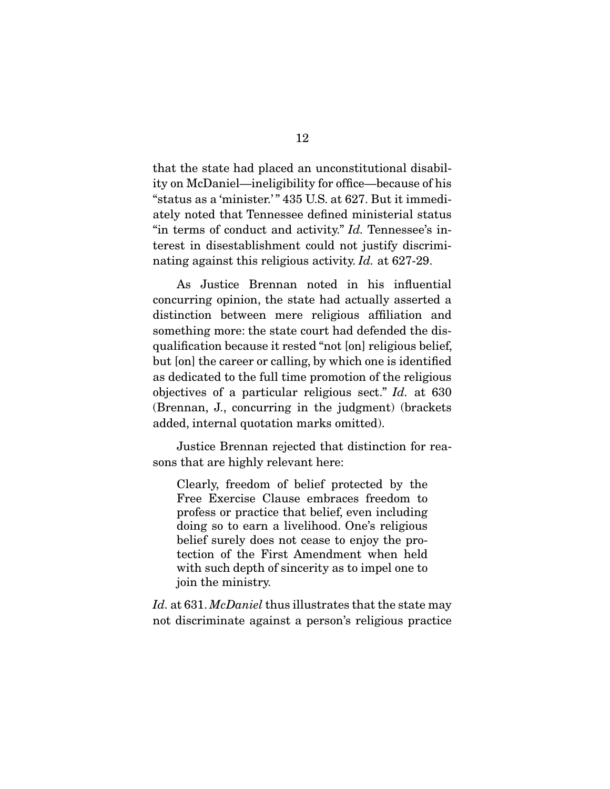that the state had placed an unconstitutional disability on McDaniel—ineligibility for office—because of his "status as a 'minister.' " 435 U.S. at 627. But it immediately noted that Tennessee defined ministerial status "in terms of conduct and activity." *Id.* Tennessee's interest in disestablishment could not justify discriminating against this religious activity. *Id.* at 627-29.

 As Justice Brennan noted in his influential concurring opinion, the state had actually asserted a distinction between mere religious affiliation and something more: the state court had defended the disqualification because it rested "not [on] religious belief, but [on] the career or calling, by which one is identified as dedicated to the full time promotion of the religious objectives of a particular religious sect." *Id.* at 630 (Brennan, J., concurring in the judgment) (brackets added, internal quotation marks omitted).

 Justice Brennan rejected that distinction for reasons that are highly relevant here:

Clearly, freedom of belief protected by the Free Exercise Clause embraces freedom to profess or practice that belief, even including doing so to earn a livelihood. One's religious belief surely does not cease to enjoy the protection of the First Amendment when held with such depth of sincerity as to impel one to join the ministry.

*Id.* at 631. *McDaniel* thus illustrates that the state may not discriminate against a person's religious practice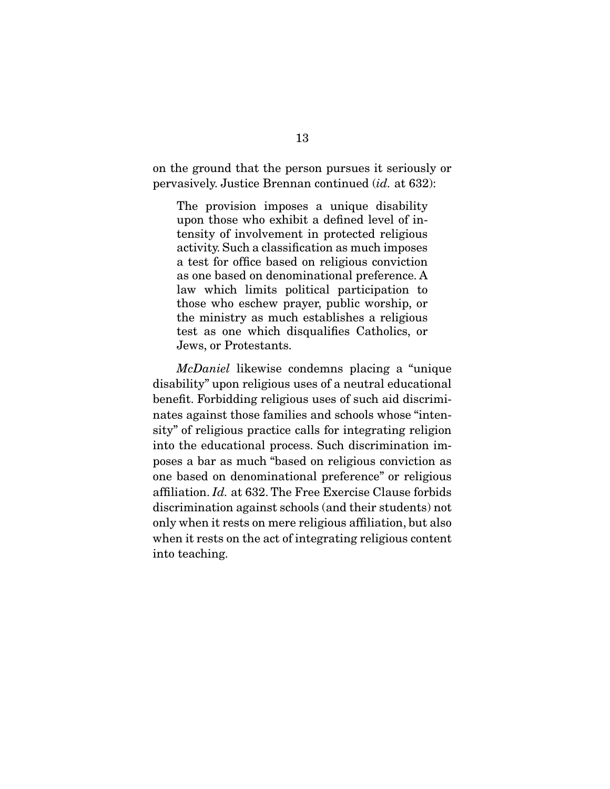on the ground that the person pursues it seriously or pervasively. Justice Brennan continued (*id.* at 632):

The provision imposes a unique disability upon those who exhibit a defined level of intensity of involvement in protected religious activity. Such a classification as much imposes a test for office based on religious conviction as one based on denominational preference. A law which limits political participation to those who eschew prayer, public worship, or the ministry as much establishes a religious test as one which disqualifies Catholics, or Jews, or Protestants.

*McDaniel* likewise condemns placing a "unique disability" upon religious uses of a neutral educational benefit. Forbidding religious uses of such aid discriminates against those families and schools whose "intensity" of religious practice calls for integrating religion into the educational process. Such discrimination imposes a bar as much "based on religious conviction as one based on denominational preference" or religious affiliation. *Id.* at 632. The Free Exercise Clause forbids discrimination against schools (and their students) not only when it rests on mere religious affiliation, but also when it rests on the act of integrating religious content into teaching.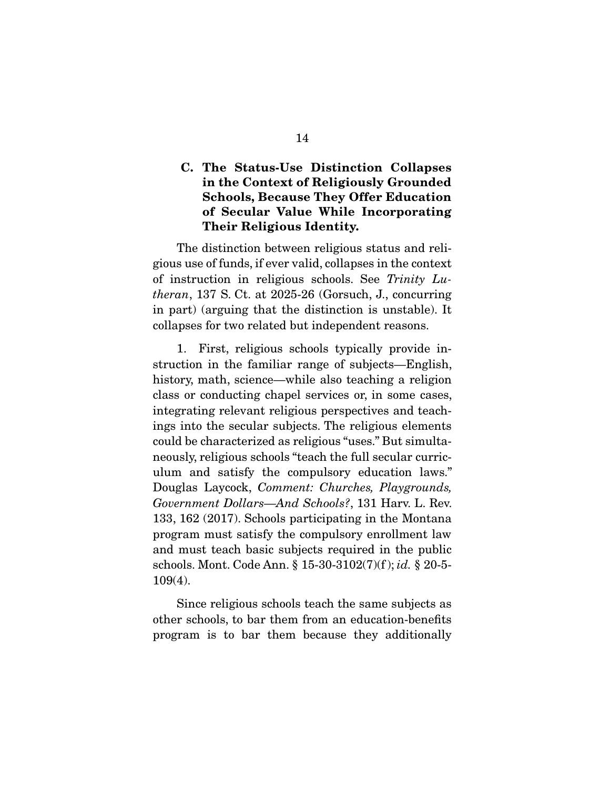## C. The Status-Use Distinction Collapses in the Context of Religiously Grounded Schools, Because They Offer Education of Secular Value While Incorporating Their Religious Identity.

 The distinction between religious status and religious use of funds, if ever valid, collapses in the context of instruction in religious schools. See *Trinity Lutheran*, 137 S. Ct. at 2025-26 (Gorsuch, J., concurring in part) (arguing that the distinction is unstable). It collapses for two related but independent reasons.

 1. First, religious schools typically provide instruction in the familiar range of subjects—English, history, math, science—while also teaching a religion class or conducting chapel services or, in some cases, integrating relevant religious perspectives and teachings into the secular subjects. The religious elements could be characterized as religious "uses." But simultaneously, religious schools "teach the full secular curriculum and satisfy the compulsory education laws." Douglas Laycock, *Comment: Churches, Playgrounds, Government Dollars—And Schools?*, 131 Harv. L. Rev. 133, 162 (2017). Schools participating in the Montana program must satisfy the compulsory enrollment law and must teach basic subjects required in the public schools. Mont. Code Ann. § 15-30-3102(7)(f ); *id.* § 20-5- 109(4).

 Since religious schools teach the same subjects as other schools, to bar them from an education-benefits program is to bar them because they additionally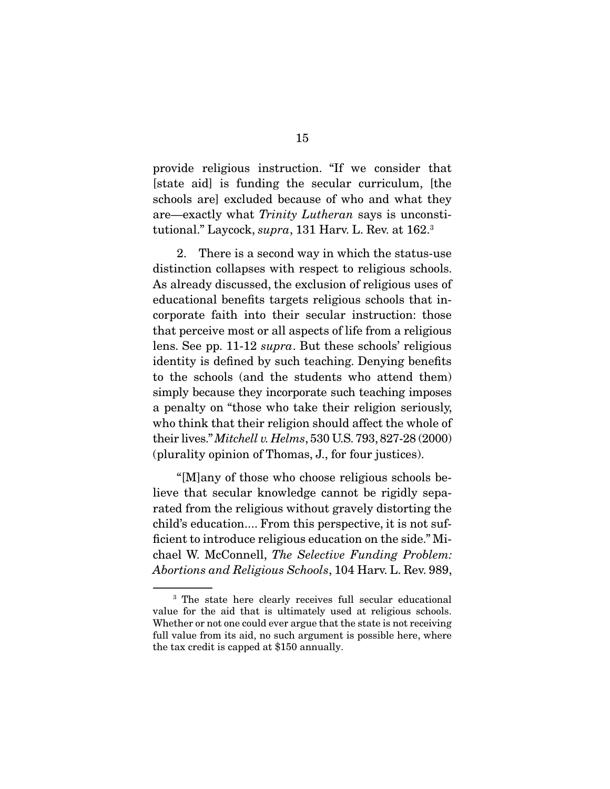provide religious instruction. "If we consider that [state aid] is funding the secular curriculum, [the schools are] excluded because of who and what they are—exactly what *Trinity Lutheran* says is unconstitutional." Laycock, *supra*, 131 Harv. L. Rev. at 162.3

 2. There is a second way in which the status-use distinction collapses with respect to religious schools. As already discussed, the exclusion of religious uses of educational benefits targets religious schools that incorporate faith into their secular instruction: those that perceive most or all aspects of life from a religious lens. See pp. 11-12 *supra*. But these schools' religious identity is defined by such teaching. Denying benefits to the schools (and the students who attend them) simply because they incorporate such teaching imposes a penalty on "those who take their religion seriously, who think that their religion should affect the whole of their lives." *Mitchell v. Helms*, 530 U.S. 793, 827-28 (2000) (plurality opinion of Thomas, J., for four justices).

 "[M]any of those who choose religious schools believe that secular knowledge cannot be rigidly separated from the religious without gravely distorting the child's education.... From this perspective, it is not sufficient to introduce religious education on the side." Michael W. McConnell, *The Selective Funding Problem: Abortions and Religious Schools*, 104 Harv. L. Rev. 989,

<sup>&</sup>lt;sup>3</sup> The state here clearly receives full secular educational value for the aid that is ultimately used at religious schools. Whether or not one could ever argue that the state is not receiving full value from its aid, no such argument is possible here, where the tax credit is capped at \$150 annually.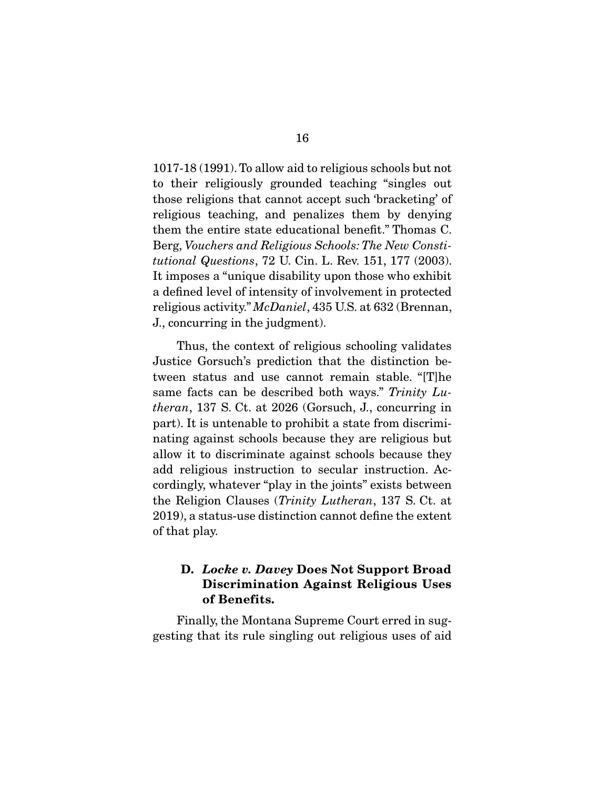1017-18 (1991). To allow aid to religious schools but not to their religiously grounded teaching "singles out those religions that cannot accept such 'bracketing' of religious teaching, and penalizes them by denying them the entire state educational benefit." Thomas C. Berg, *Vouchers and Religious Schools: The New Constitutional Questions*, 72 U. Cin. L. Rev. 151, 177 (2003). It imposes a "unique disability upon those who exhibit a defined level of intensity of involvement in protected religious activity." *McDaniel*, 435 U.S. at 632 (Brennan, J., concurring in the judgment).

 Thus, the context of religious schooling validates Justice Gorsuch's prediction that the distinction between status and use cannot remain stable. "[T]he same facts can be described both ways." *Trinity Lutheran*, 137 S. Ct. at 2026 (Gorsuch, J., concurring in part). It is untenable to prohibit a state from discriminating against schools because they are religious but allow it to discriminate against schools because they add religious instruction to secular instruction. Accordingly, whatever "play in the joints" exists between the Religion Clauses (*Trinity Lutheran*, 137 S. Ct. at 2019), a status-use distinction cannot define the extent of that play.

## D. *Locke v. Davey* Does Not Support Broad Discrimination Against Religious Uses of Benefits.

 Finally, the Montana Supreme Court erred in suggesting that its rule singling out religious uses of aid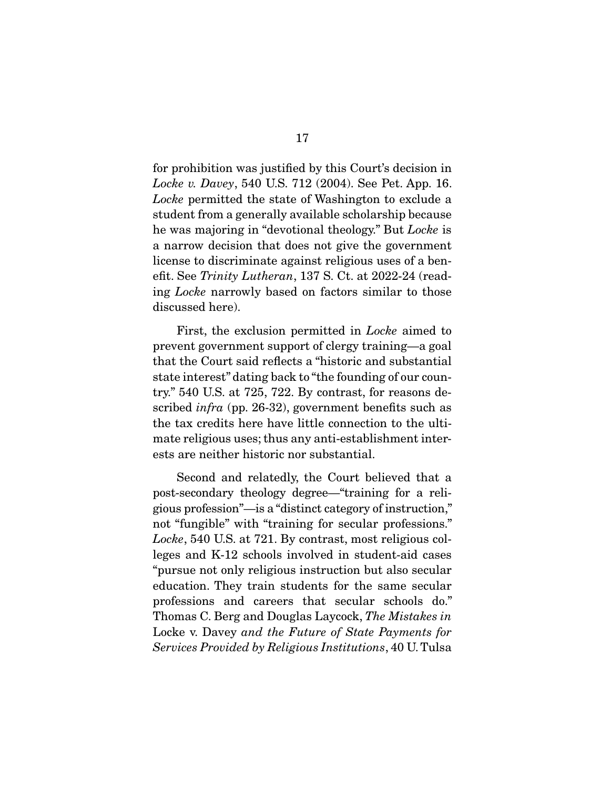for prohibition was justified by this Court's decision in *Locke v. Davey*, 540 U.S. 712 (2004). See Pet. App. 16. *Locke* permitted the state of Washington to exclude a student from a generally available scholarship because he was majoring in "devotional theology." But *Locke* is a narrow decision that does not give the government license to discriminate against religious uses of a benefit. See *Trinity Lutheran*, 137 S. Ct. at 2022-24 (reading *Locke* narrowly based on factors similar to those discussed here).

 First, the exclusion permitted in *Locke* aimed to prevent government support of clergy training—a goal that the Court said reflects a "historic and substantial state interest" dating back to "the founding of our country." 540 U.S. at 725, 722. By contrast, for reasons described *infra* (pp. 26-32), government benefits such as the tax credits here have little connection to the ultimate religious uses; thus any anti-establishment interests are neither historic nor substantial.

 Second and relatedly, the Court believed that a post-secondary theology degree—"training for a religious profession"—is a "distinct category of instruction," not "fungible" with "training for secular professions." *Locke*, 540 U.S. at 721. By contrast, most religious colleges and K-12 schools involved in student-aid cases "pursue not only religious instruction but also secular education. They train students for the same secular professions and careers that secular schools do." Thomas C. Berg and Douglas Laycock, *The Mistakes in*  Locke v. Davey *and the Future of State Payments for Services Provided by Religious Institutions*, 40 U. Tulsa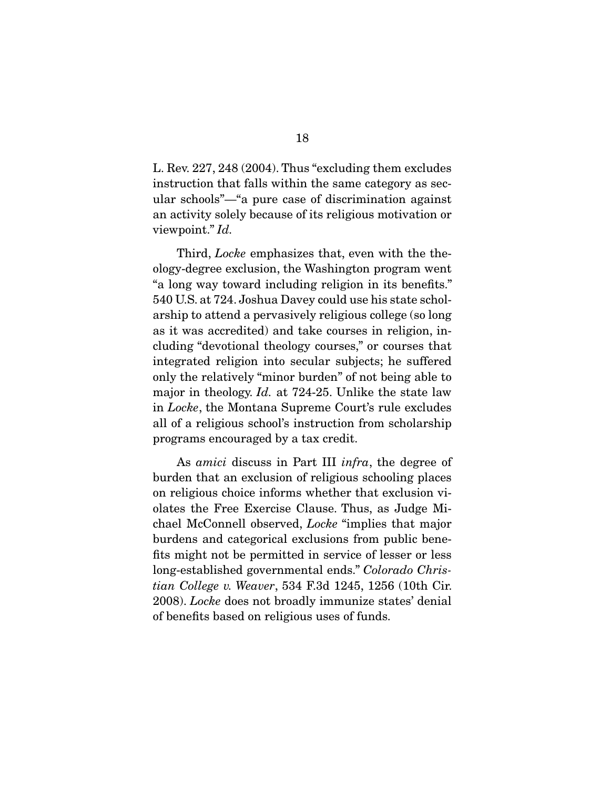L. Rev. 227, 248 (2004). Thus "excluding them excludes instruction that falls within the same category as secular schools"—"a pure case of discrimination against an activity solely because of its religious motivation or viewpoint." *Id.*

 Third, *Locke* emphasizes that, even with the theology-degree exclusion, the Washington program went "a long way toward including religion in its benefits." 540 U.S. at 724. Joshua Davey could use his state scholarship to attend a pervasively religious college (so long as it was accredited) and take courses in religion, including "devotional theology courses," or courses that integrated religion into secular subjects; he suffered only the relatively "minor burden" of not being able to major in theology. *Id.* at 724-25. Unlike the state law in *Locke*, the Montana Supreme Court's rule excludes all of a religious school's instruction from scholarship programs encouraged by a tax credit.

 As *amici* discuss in Part III *infra*, the degree of burden that an exclusion of religious schooling places on religious choice informs whether that exclusion violates the Free Exercise Clause. Thus, as Judge Michael McConnell observed, *Locke* "implies that major burdens and categorical exclusions from public benefits might not be permitted in service of lesser or less long-established governmental ends." *Colorado Christian College v. Weaver*, 534 F.3d 1245, 1256 (10th Cir. 2008). *Locke* does not broadly immunize states' denial of benefits based on religious uses of funds.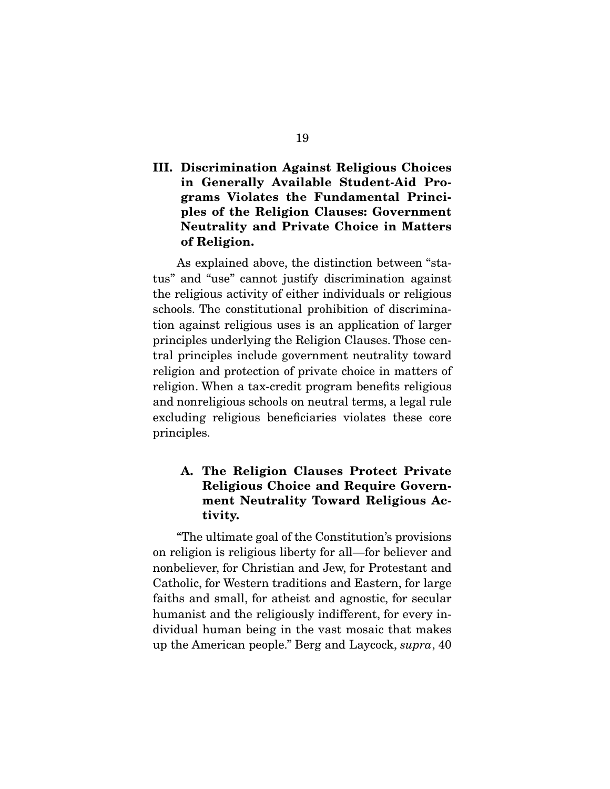## III. Discrimination Against Religious Choices in Generally Available Student-Aid Programs Violates the Fundamental Principles of the Religion Clauses: Government Neutrality and Private Choice in Matters of Religion.

 As explained above, the distinction between "status" and "use" cannot justify discrimination against the religious activity of either individuals or religious schools. The constitutional prohibition of discrimination against religious uses is an application of larger principles underlying the Religion Clauses. Those central principles include government neutrality toward religion and protection of private choice in matters of religion. When a tax-credit program benefits religious and nonreligious schools on neutral terms, a legal rule excluding religious beneficiaries violates these core principles.

## A. The Religion Clauses Protect Private Religious Choice and Require Government Neutrality Toward Religious Activity.

 "The ultimate goal of the Constitution's provisions on religion is religious liberty for all—for believer and nonbeliever, for Christian and Jew, for Protestant and Catholic, for Western traditions and Eastern, for large faiths and small, for atheist and agnostic, for secular humanist and the religiously indifferent, for every individual human being in the vast mosaic that makes up the American people." Berg and Laycock, *supra*, 40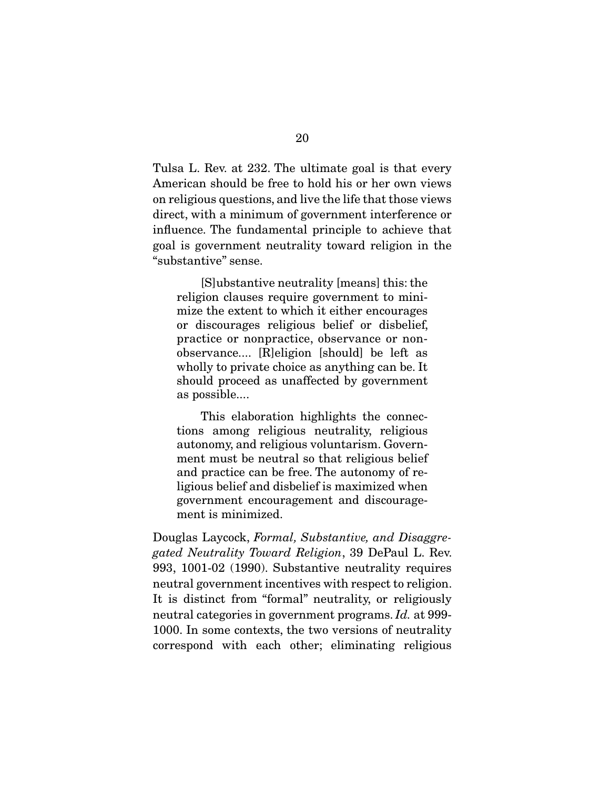Tulsa L. Rev. at 232. The ultimate goal is that every American should be free to hold his or her own views on religious questions, and live the life that those views direct, with a minimum of government interference or influence. The fundamental principle to achieve that goal is government neutrality toward religion in the "substantive" sense.

 [S]ubstantive neutrality [means] this: the religion clauses require government to minimize the extent to which it either encourages or discourages religious belief or disbelief, practice or nonpractice, observance or nonobservance.... [R]eligion [should] be left as wholly to private choice as anything can be. It should proceed as unaffected by government as possible....

 This elaboration highlights the connections among religious neutrality, religious autonomy, and religious voluntarism. Government must be neutral so that religious belief and practice can be free. The autonomy of religious belief and disbelief is maximized when government encouragement and discouragement is minimized.

Douglas Laycock, *Formal, Substantive, and Disaggregated Neutrality Toward Religion*, 39 DePaul L. Rev. 993, 1001-02 (1990). Substantive neutrality requires neutral government incentives with respect to religion. It is distinct from "formal" neutrality, or religiously neutral categories in government programs. *Id.* at 999- 1000. In some contexts, the two versions of neutrality correspond with each other; eliminating religious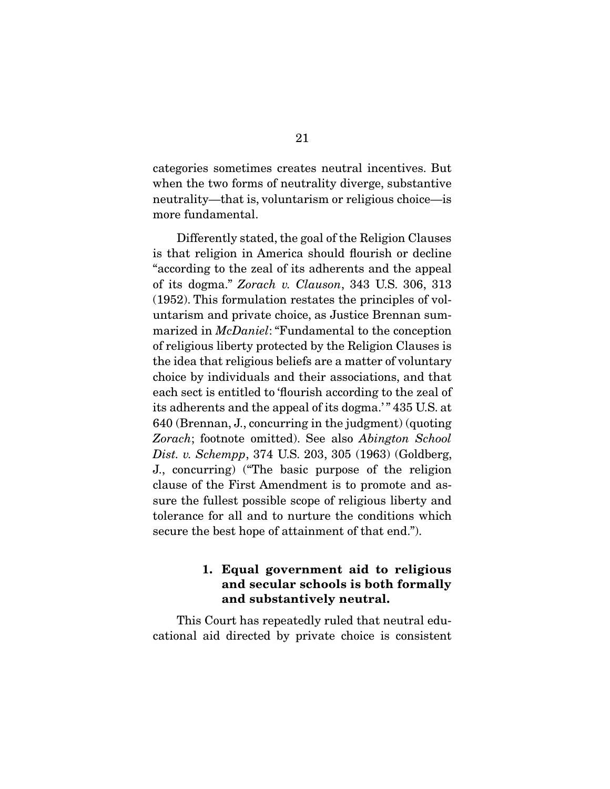categories sometimes creates neutral incentives. But when the two forms of neutrality diverge, substantive neutrality—that is, voluntarism or religious choice—is more fundamental.

 Differently stated, the goal of the Religion Clauses is that religion in America should flourish or decline "according to the zeal of its adherents and the appeal of its dogma." *Zorach v. Clauson*, 343 U.S. 306, 313 (1952). This formulation restates the principles of voluntarism and private choice, as Justice Brennan summarized in *McDaniel*: "Fundamental to the conception of religious liberty protected by the Religion Clauses is the idea that religious beliefs are a matter of voluntary choice by individuals and their associations, and that each sect is entitled to 'flourish according to the zeal of its adherents and the appeal of its dogma.' " 435 U.S. at 640 (Brennan, J., concurring in the judgment) (quoting *Zorach*; footnote omitted). See also *Abington School Dist. v. Schempp*, 374 U.S. 203, 305 (1963) (Goldberg, J., concurring) ("The basic purpose of the religion clause of the First Amendment is to promote and assure the fullest possible scope of religious liberty and tolerance for all and to nurture the conditions which secure the best hope of attainment of that end.").

## 1. Equal government aid to religious and secular schools is both formally and substantively neutral.

 This Court has repeatedly ruled that neutral educational aid directed by private choice is consistent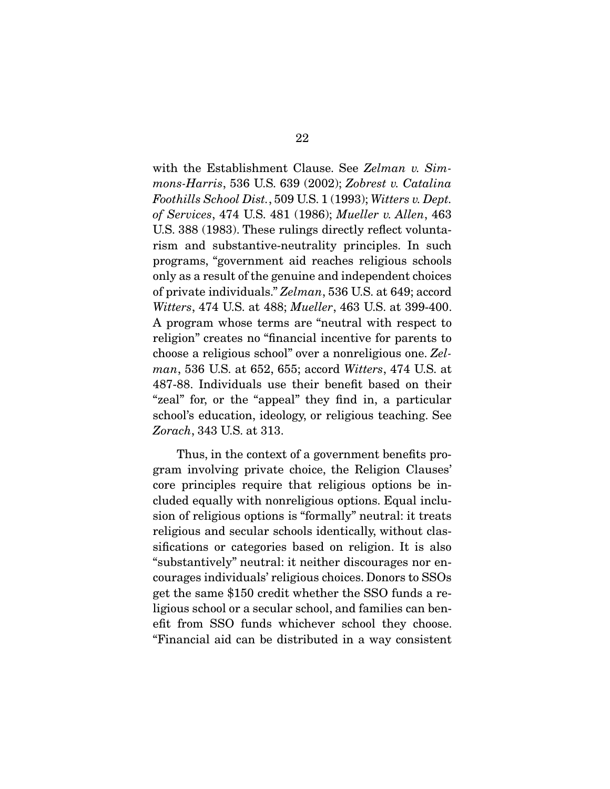with the Establishment Clause. See *Zelman v. Simmons-Harris*, 536 U.S. 639 (2002); *Zobrest v. Catalina Foothills School Dist.*, 509 U.S. 1 (1993); *Witters v. Dept. of Services*, 474 U.S. 481 (1986); *Mueller v. Allen*, 463 U.S. 388 (1983). These rulings directly reflect voluntarism and substantive-neutrality principles. In such programs, "government aid reaches religious schools only as a result of the genuine and independent choices of private individuals." *Zelman*, 536 U.S. at 649; accord *Witters*, 474 U.S. at 488; *Mueller*, 463 U.S. at 399-400. A program whose terms are "neutral with respect to religion" creates no "financial incentive for parents to choose a religious school" over a nonreligious one. *Zelman*, 536 U.S. at 652, 655; accord *Witters*, 474 U.S. at 487-88. Individuals use their benefit based on their "zeal" for, or the "appeal" they find in, a particular school's education, ideology, or religious teaching. See *Zorach*, 343 U.S. at 313.

 Thus, in the context of a government benefits program involving private choice, the Religion Clauses' core principles require that religious options be included equally with nonreligious options. Equal inclusion of religious options is "formally" neutral: it treats religious and secular schools identically, without classifications or categories based on religion. It is also "substantively" neutral: it neither discourages nor encourages individuals' religious choices. Donors to SSOs get the same \$150 credit whether the SSO funds a religious school or a secular school, and families can benefit from SSO funds whichever school they choose. "Financial aid can be distributed in a way consistent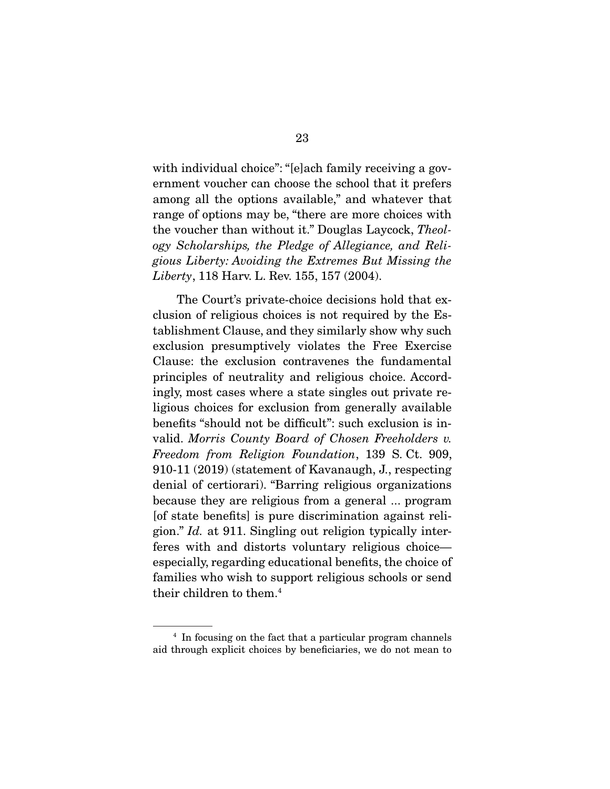with individual choice": "[e]ach family receiving a government voucher can choose the school that it prefers among all the options available," and whatever that range of options may be, "there are more choices with the voucher than without it." Douglas Laycock, *Theology Scholarships, the Pledge of Allegiance, and Religious Liberty: Avoiding the Extremes But Missing the Liberty*, 118 Harv. L. Rev. 155, 157 (2004).

 The Court's private-choice decisions hold that exclusion of religious choices is not required by the Establishment Clause, and they similarly show why such exclusion presumptively violates the Free Exercise Clause: the exclusion contravenes the fundamental principles of neutrality and religious choice. Accordingly, most cases where a state singles out private religious choices for exclusion from generally available benefits "should not be difficult": such exclusion is invalid. *Morris County Board of Chosen Freeholders v. Freedom from Religion Foundation*, 139 S. Ct. 909, 910-11 (2019) (statement of Kavanaugh, J., respecting denial of certiorari). "Barring religious organizations because they are religious from a general ... program [of state benefits] is pure discrimination against religion." *Id.* at 911. Singling out religion typically interferes with and distorts voluntary religious choice especially, regarding educational benefits, the choice of families who wish to support religious schools or send their children to them.4

<sup>&</sup>lt;sup>4</sup> In focusing on the fact that a particular program channels aid through explicit choices by beneficiaries, we do not mean to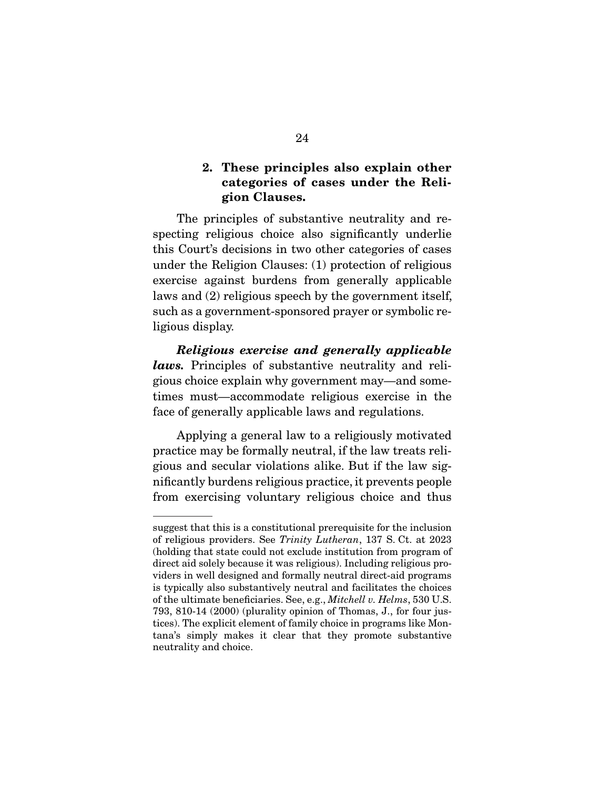### 2. These principles also explain other categories of cases under the Religion Clauses.

 The principles of substantive neutrality and respecting religious choice also significantly underlie this Court's decisions in two other categories of cases under the Religion Clauses: (1) protection of religious exercise against burdens from generally applicable laws and (2) religious speech by the government itself, such as a government-sponsored prayer or symbolic religious display.

*Religious exercise and generally applicable laws.* Principles of substantive neutrality and religious choice explain why government may—and sometimes must—accommodate religious exercise in the face of generally applicable laws and regulations.

 Applying a general law to a religiously motivated practice may be formally neutral, if the law treats religious and secular violations alike. But if the law significantly burdens religious practice, it prevents people from exercising voluntary religious choice and thus

suggest that this is a constitutional prerequisite for the inclusion of religious providers. See *Trinity Lutheran*, 137 S. Ct. at 2023 (holding that state could not exclude institution from program of direct aid solely because it was religious). Including religious providers in well designed and formally neutral direct-aid programs is typically also substantively neutral and facilitates the choices of the ultimate beneficiaries. See, e.g., *Mitchell v. Helms*, 530 U.S. 793, 810-14 (2000) (plurality opinion of Thomas, J., for four justices). The explicit element of family choice in programs like Montana's simply makes it clear that they promote substantive neutrality and choice.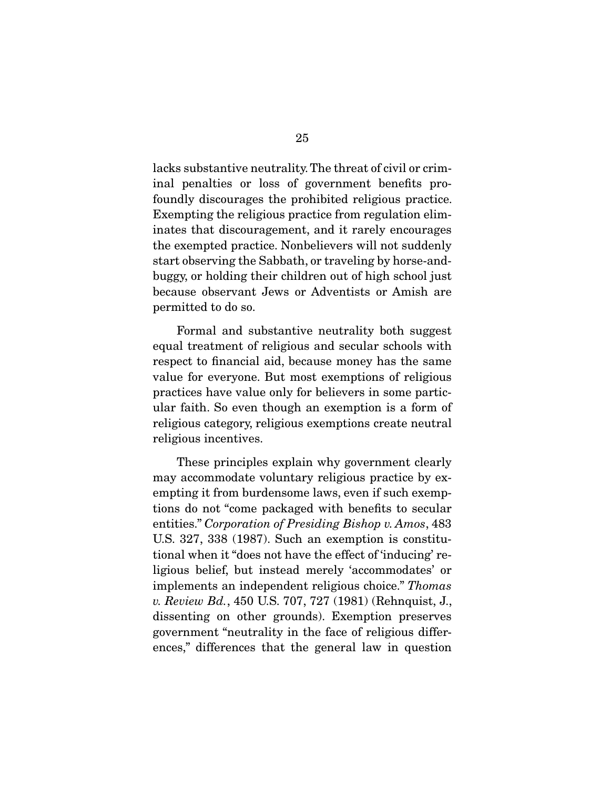lacks substantive neutrality. The threat of civil or criminal penalties or loss of government benefits profoundly discourages the prohibited religious practice. Exempting the religious practice from regulation eliminates that discouragement, and it rarely encourages the exempted practice. Nonbelievers will not suddenly start observing the Sabbath, or traveling by horse-andbuggy, or holding their children out of high school just because observant Jews or Adventists or Amish are permitted to do so.

 Formal and substantive neutrality both suggest equal treatment of religious and secular schools with respect to financial aid, because money has the same value for everyone. But most exemptions of religious practices have value only for believers in some particular faith. So even though an exemption is a form of religious category, religious exemptions create neutral religious incentives.

 These principles explain why government clearly may accommodate voluntary religious practice by exempting it from burdensome laws, even if such exemptions do not "come packaged with benefits to secular entities." *Corporation of Presiding Bishop v. Amos*, 483 U.S. 327, 338 (1987). Such an exemption is constitutional when it "does not have the effect of 'inducing' religious belief, but instead merely 'accommodates' or implements an independent religious choice." *Thomas v. Review Bd.*, 450 U.S. 707, 727 (1981) (Rehnquist, J., dissenting on other grounds). Exemption preserves government "neutrality in the face of religious differences," differences that the general law in question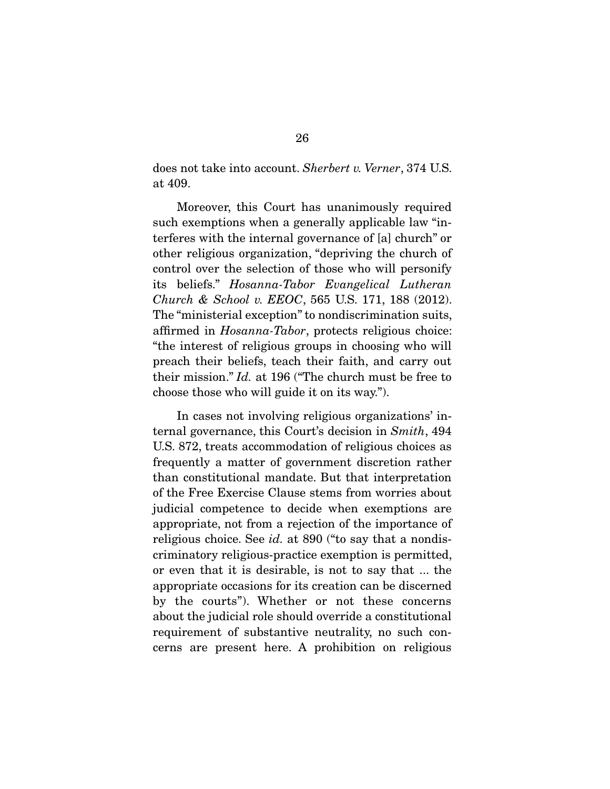does not take into account. *Sherbert v. Verner*, 374 U.S. at 409.

 Moreover, this Court has unanimously required such exemptions when a generally applicable law "interferes with the internal governance of [a] church" or other religious organization, "depriving the church of control over the selection of those who will personify its beliefs." *Hosanna-Tabor Evangelical Lutheran Church & School v. EEOC*, 565 U.S. 171, 188 (2012). The "ministerial exception" to nondiscrimination suits, affirmed in *Hosanna-Tabor*, protects religious choice: "the interest of religious groups in choosing who will preach their beliefs, teach their faith, and carry out their mission." *Id.* at 196 ("The church must be free to choose those who will guide it on its way.").

 In cases not involving religious organizations' internal governance, this Court's decision in *Smith*, 494 U.S. 872, treats accommodation of religious choices as frequently a matter of government discretion rather than constitutional mandate. But that interpretation of the Free Exercise Clause stems from worries about judicial competence to decide when exemptions are appropriate, not from a rejection of the importance of religious choice. See *id.* at 890 ("to say that a nondiscriminatory religious-practice exemption is permitted, or even that it is desirable, is not to say that ... the appropriate occasions for its creation can be discerned by the courts"). Whether or not these concerns about the judicial role should override a constitutional requirement of substantive neutrality, no such concerns are present here. A prohibition on religious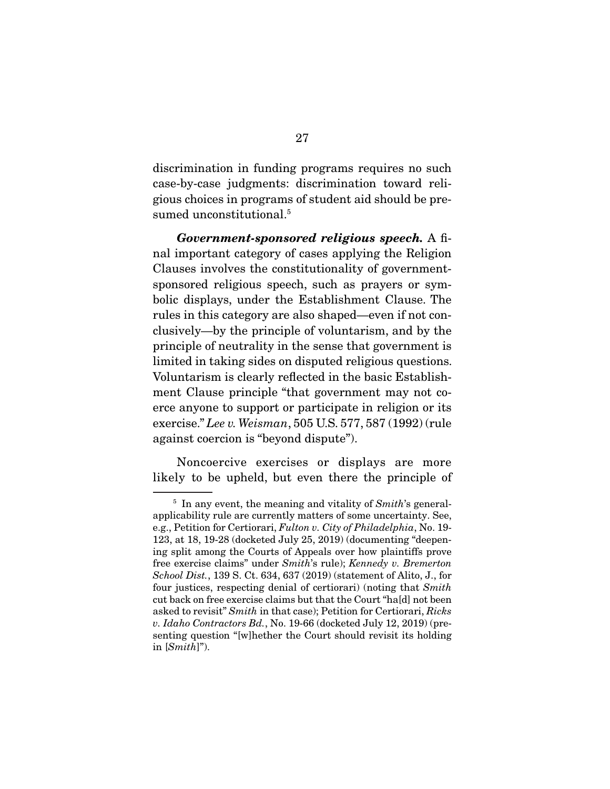discrimination in funding programs requires no such case-by-case judgments: discrimination toward religious choices in programs of student aid should be presumed unconstitutional.<sup>5</sup>

*Government-sponsored religious speech.* A final important category of cases applying the Religion Clauses involves the constitutionality of governmentsponsored religious speech, such as prayers or symbolic displays, under the Establishment Clause. The rules in this category are also shaped—even if not conclusively—by the principle of voluntarism, and by the principle of neutrality in the sense that government is limited in taking sides on disputed religious questions. Voluntarism is clearly reflected in the basic Establishment Clause principle "that government may not coerce anyone to support or participate in religion or its exercise." *Lee v. Weisman*, 505 U.S. 577, 587 (1992) (rule against coercion is "beyond dispute").

 Noncoercive exercises or displays are more likely to be upheld, but even there the principle of

<sup>5</sup> In any event, the meaning and vitality of *Smith*'s generalapplicability rule are currently matters of some uncertainty. See, e.g., Petition for Certiorari, *Fulton v. City of Philadelphia*, No. 19- 123, at 18, 19-28 (docketed July 25, 2019) (documenting "deepening split among the Courts of Appeals over how plaintiffs prove free exercise claims" under *Smith*'s rule); *Kennedy v. Bremerton School Dist.*, 139 S. Ct. 634, 637 (2019) (statement of Alito, J., for four justices, respecting denial of certiorari) (noting that *Smith* cut back on free exercise claims but that the Court "ha[d] not been asked to revisit" *Smith* in that case); Petition for Certiorari, *Ricks v. Idaho Contractors Bd.*, No. 19-66 (docketed July 12, 2019) (presenting question "[w]hether the Court should revisit its holding in [*Smith*]").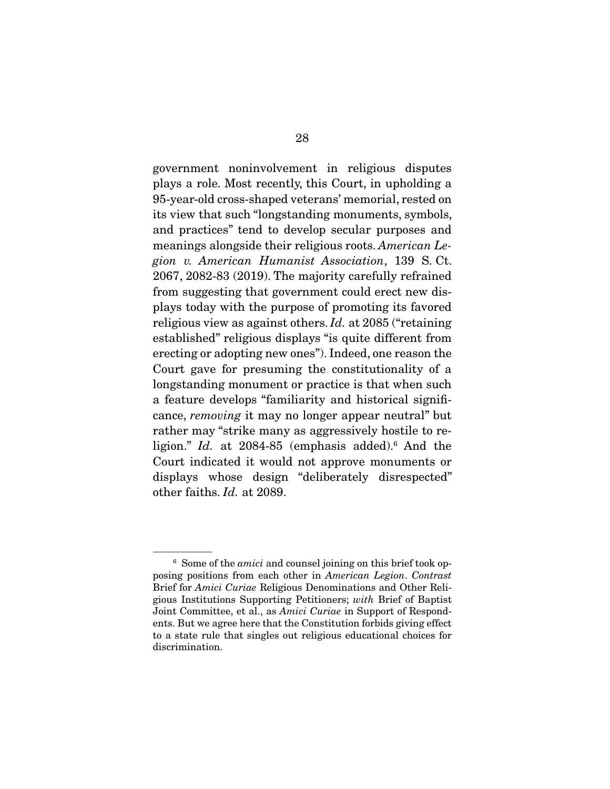government noninvolvement in religious disputes plays a role. Most recently, this Court, in upholding a 95-year-old cross-shaped veterans' memorial, rested on its view that such "longstanding monuments, symbols, and practices" tend to develop secular purposes and meanings alongside their religious roots. *American Legion v. American Humanist Association*, 139 S. Ct. 2067, 2082-83 (2019). The majority carefully refrained from suggesting that government could erect new displays today with the purpose of promoting its favored religious view as against others. *Id.* at 2085 ("retaining established" religious displays "is quite different from erecting or adopting new ones"). Indeed, one reason the Court gave for presuming the constitutionality of a longstanding monument or practice is that when such a feature develops "familiarity and historical significance, *removing* it may no longer appear neutral" but rather may "strike many as aggressively hostile to religion." *Id.* at 2084-85 (emphasis added).<sup>6</sup> And the Court indicated it would not approve monuments or displays whose design "deliberately disrespected" other faiths. *Id.* at 2089.

<sup>6</sup> Some of the *amici* and counsel joining on this brief took opposing positions from each other in *American Legion*. *Contrast* Brief for *Amici Curiae* Religious Denominations and Other Religious Institutions Supporting Petitioners; *with* Brief of Baptist Joint Committee, et al., as *Amici Curiae* in Support of Respondents. But we agree here that the Constitution forbids giving effect to a state rule that singles out religious educational choices for discrimination.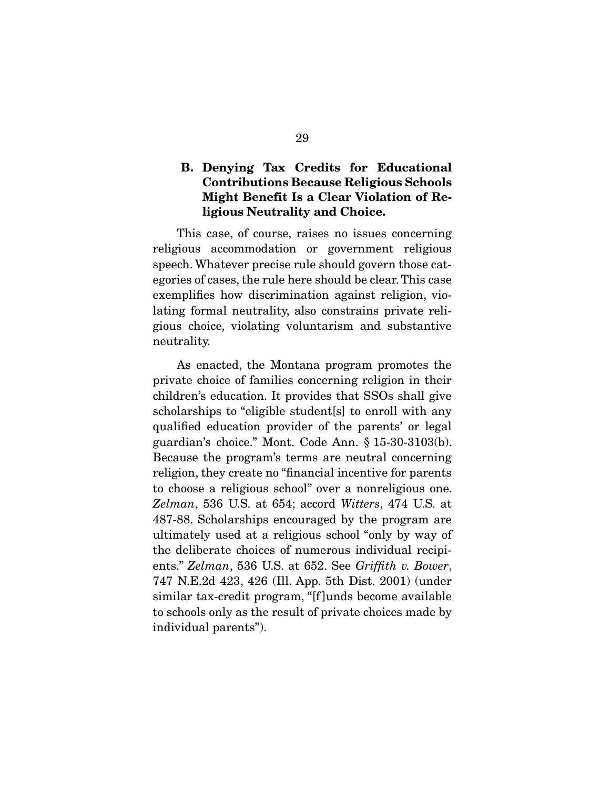## B. Denying Tax Credits for Educational Contributions Because Religious Schools Might Benefit Is a Clear Violation of Religious Neutrality and Choice.

 This case, of course, raises no issues concerning religious accommodation or government religious speech. Whatever precise rule should govern those categories of cases, the rule here should be clear. This case exemplifies how discrimination against religion, violating formal neutrality, also constrains private religious choice, violating voluntarism and substantive neutrality.

 As enacted, the Montana program promotes the private choice of families concerning religion in their children's education. It provides that SSOs shall give scholarships to "eligible student[s] to enroll with any qualified education provider of the parents' or legal guardian's choice." Mont. Code Ann. § 15-30-3103(b). Because the program's terms are neutral concerning religion, they create no "financial incentive for parents to choose a religious school" over a nonreligious one. *Zelman*, 536 U.S. at 654; accord *Witters*, 474 U.S. at 487-88. Scholarships encouraged by the program are ultimately used at a religious school "only by way of the deliberate choices of numerous individual recipients." *Zelman*, 536 U.S. at 652. See *Griffith v. Bower*, 747 N.E.2d 423, 426 (Ill. App. 5th Dist. 2001) (under similar tax-credit program, "[f ]unds become available to schools only as the result of private choices made by individual parents").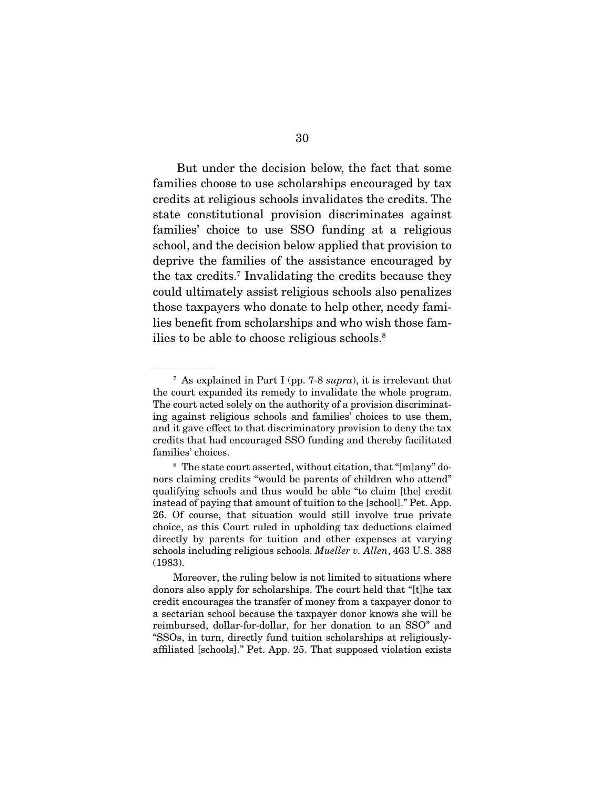But under the decision below, the fact that some families choose to use scholarships encouraged by tax credits at religious schools invalidates the credits. The state constitutional provision discriminates against families' choice to use SSO funding at a religious school, and the decision below applied that provision to deprive the families of the assistance encouraged by the tax credits.7 Invalidating the credits because they could ultimately assist religious schools also penalizes those taxpayers who donate to help other, needy families benefit from scholarships and who wish those families to be able to choose religious schools.8

<sup>7</sup> As explained in Part I (pp. 7-8 *supra*), it is irrelevant that the court expanded its remedy to invalidate the whole program. The court acted solely on the authority of a provision discriminating against religious schools and families' choices to use them, and it gave effect to that discriminatory provision to deny the tax credits that had encouraged SSO funding and thereby facilitated families' choices.

<sup>8</sup> The state court asserted, without citation, that "[m]any" donors claiming credits "would be parents of children who attend" qualifying schools and thus would be able "to claim [the] credit instead of paying that amount of tuition to the [school]." Pet. App. 26. Of course, that situation would still involve true private choice, as this Court ruled in upholding tax deductions claimed directly by parents for tuition and other expenses at varying schools including religious schools. *Mueller v. Allen*, 463 U.S. 388 (1983).

Moreover, the ruling below is not limited to situations where donors also apply for scholarships. The court held that "[t]he tax credit encourages the transfer of money from a taxpayer donor to a sectarian school because the taxpayer donor knows she will be reimbursed, dollar-for-dollar, for her donation to an SSO" and "SSOs, in turn, directly fund tuition scholarships at religiouslyaffiliated [schools]." Pet. App. 25. That supposed violation exists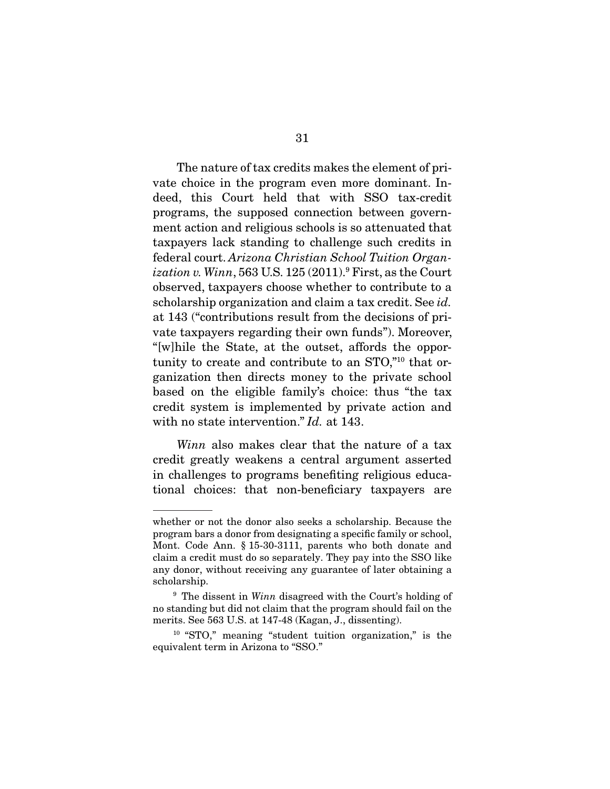The nature of tax credits makes the element of private choice in the program even more dominant. Indeed, this Court held that with SSO tax-credit programs, the supposed connection between government action and religious schools is so attenuated that taxpayers lack standing to challenge such credits in federal court. *Arizona Christian School Tuition Organization v. Winn*, 563 U.S. 125 (2011).9 First, as the Court observed, taxpayers choose whether to contribute to a scholarship organization and claim a tax credit. See *id.* at 143 ("contributions result from the decisions of private taxpayers regarding their own funds"). Moreover, "[w]hile the State, at the outset, affords the opportunity to create and contribute to an STO,"10 that organization then directs money to the private school based on the eligible family's choice: thus "the tax credit system is implemented by private action and with no state intervention." *Id.* at 143.

*Winn* also makes clear that the nature of a tax credit greatly weakens a central argument asserted in challenges to programs benefiting religious educational choices: that non-beneficiary taxpayers are

whether or not the donor also seeks a scholarship. Because the program bars a donor from designating a specific family or school, Mont. Code Ann. § 15-30-3111, parents who both donate and claim a credit must do so separately. They pay into the SSO like any donor, without receiving any guarantee of later obtaining a scholarship.

<sup>&</sup>lt;sup>9</sup> The dissent in *Winn* disagreed with the Court's holding of no standing but did not claim that the program should fail on the merits. See 563 U.S. at 147-48 (Kagan, J., dissenting).

<sup>10</sup> "STO," meaning "student tuition organization," is the equivalent term in Arizona to "SSO."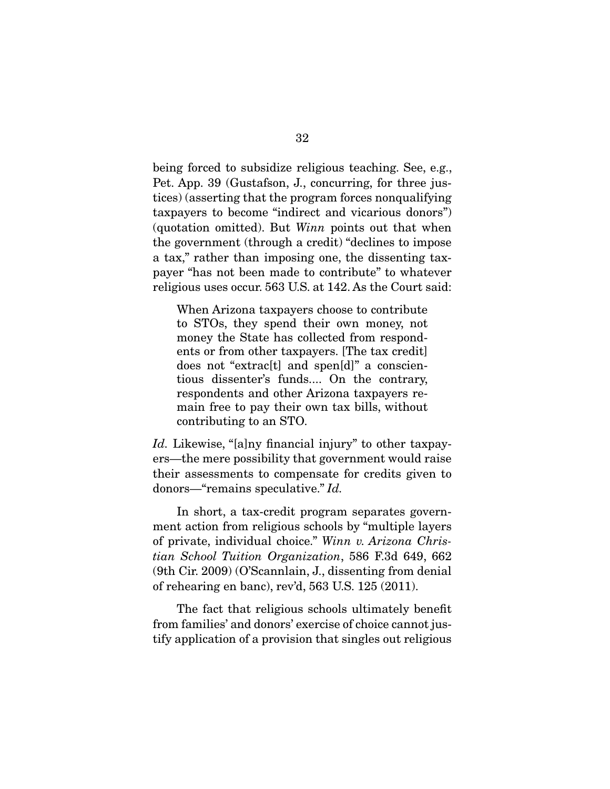being forced to subsidize religious teaching. See, e.g., Pet. App. 39 (Gustafson, J., concurring, for three justices) (asserting that the program forces nonqualifying taxpayers to become "indirect and vicarious donors") (quotation omitted). But *Winn* points out that when the government (through a credit) "declines to impose a tax," rather than imposing one, the dissenting taxpayer "has not been made to contribute" to whatever religious uses occur. 563 U.S. at 142. As the Court said:

When Arizona taxpayers choose to contribute to STOs, they spend their own money, not money the State has collected from respondents or from other taxpayers. [The tax credit] does not "extrac[t] and spen[d]" a conscientious dissenter's funds.... On the contrary, respondents and other Arizona taxpayers remain free to pay their own tax bills, without contributing to an STO.

*Id.* Likewise, "[a]ny financial injury" to other taxpayers—the mere possibility that government would raise their assessments to compensate for credits given to donors—"remains speculative." *Id.*

 In short, a tax-credit program separates government action from religious schools by "multiple layers of private, individual choice." *Winn v. Arizona Christian School Tuition Organization*, 586 F.3d 649, 662 (9th Cir. 2009) (O'Scannlain, J., dissenting from denial of rehearing en banc), rev'd, 563 U.S. 125 (2011).

 The fact that religious schools ultimately benefit from families' and donors' exercise of choice cannot justify application of a provision that singles out religious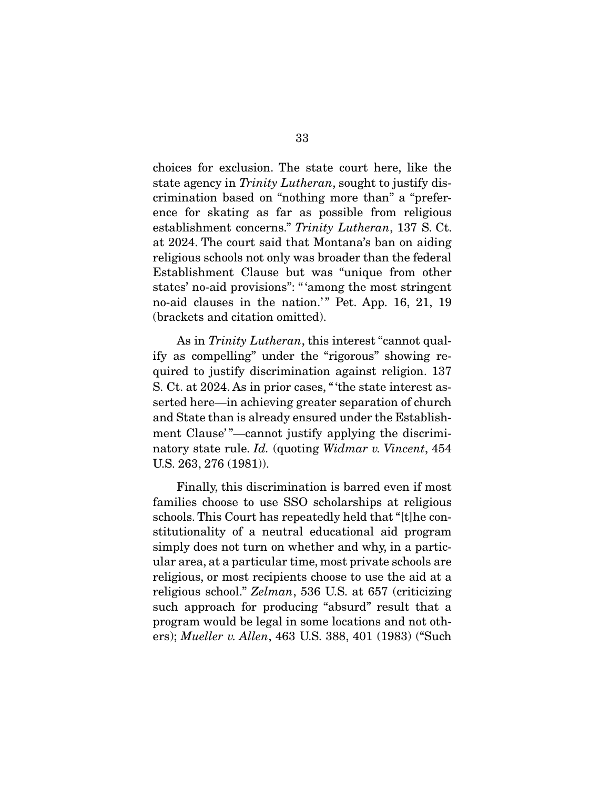choices for exclusion. The state court here, like the state agency in *Trinity Lutheran*, sought to justify discrimination based on "nothing more than" a "preference for skating as far as possible from religious establishment concerns." *Trinity Lutheran*, 137 S. Ct. at 2024. The court said that Montana's ban on aiding religious schools not only was broader than the federal Establishment Clause but was "unique from other states' no-aid provisions": " 'among the most stringent no-aid clauses in the nation.'" Pet. App. 16, 21, 19 (brackets and citation omitted).

 As in *Trinity Lutheran*, this interest "cannot qualify as compelling" under the "rigorous" showing required to justify discrimination against religion. 137 S. Ct. at 2024. As in prior cases, " 'the state interest asserted here—in achieving greater separation of church and State than is already ensured under the Establishment Clause'"-cannot justify applying the discriminatory state rule. *Id.* (quoting *Widmar v. Vincent*, 454 U.S. 263, 276 (1981)).

 Finally, this discrimination is barred even if most families choose to use SSO scholarships at religious schools. This Court has repeatedly held that "[t]he constitutionality of a neutral educational aid program simply does not turn on whether and why, in a particular area, at a particular time, most private schools are religious, or most recipients choose to use the aid at a religious school." *Zelman*, 536 U.S. at 657 (criticizing such approach for producing "absurd" result that a program would be legal in some locations and not others); *Mueller v. Allen*, 463 U.S. 388, 401 (1983) ("Such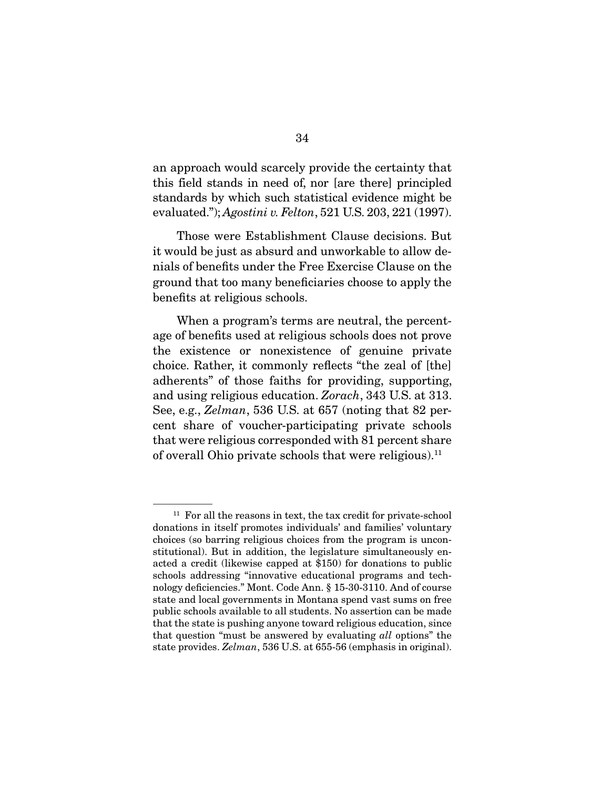an approach would scarcely provide the certainty that this field stands in need of, nor [are there] principled standards by which such statistical evidence might be evaluated."); *Agostini v. Felton*, 521 U.S. 203, 221 (1997).

 Those were Establishment Clause decisions. But it would be just as absurd and unworkable to allow denials of benefits under the Free Exercise Clause on the ground that too many beneficiaries choose to apply the benefits at religious schools.

 When a program's terms are neutral, the percentage of benefits used at religious schools does not prove the existence or nonexistence of genuine private choice. Rather, it commonly reflects "the zeal of [the] adherents" of those faiths for providing, supporting, and using religious education. *Zorach*, 343 U.S. at 313. See, e.g., *Zelman*, 536 U.S. at 657 (noting that 82 percent share of voucher-participating private schools that were religious corresponded with 81 percent share of overall Ohio private schools that were religious).<sup>11</sup>

 $11$  For all the reasons in text, the tax credit for private-school donations in itself promotes individuals' and families' voluntary choices (so barring religious choices from the program is unconstitutional). But in addition, the legislature simultaneously enacted a credit (likewise capped at \$150) for donations to public schools addressing "innovative educational programs and technology deficiencies." Mont. Code Ann. § 15-30-3110. And of course state and local governments in Montana spend vast sums on free public schools available to all students. No assertion can be made that the state is pushing anyone toward religious education, since that question "must be answered by evaluating *all* options" the state provides. *Zelman*, 536 U.S. at 655-56 (emphasis in original).